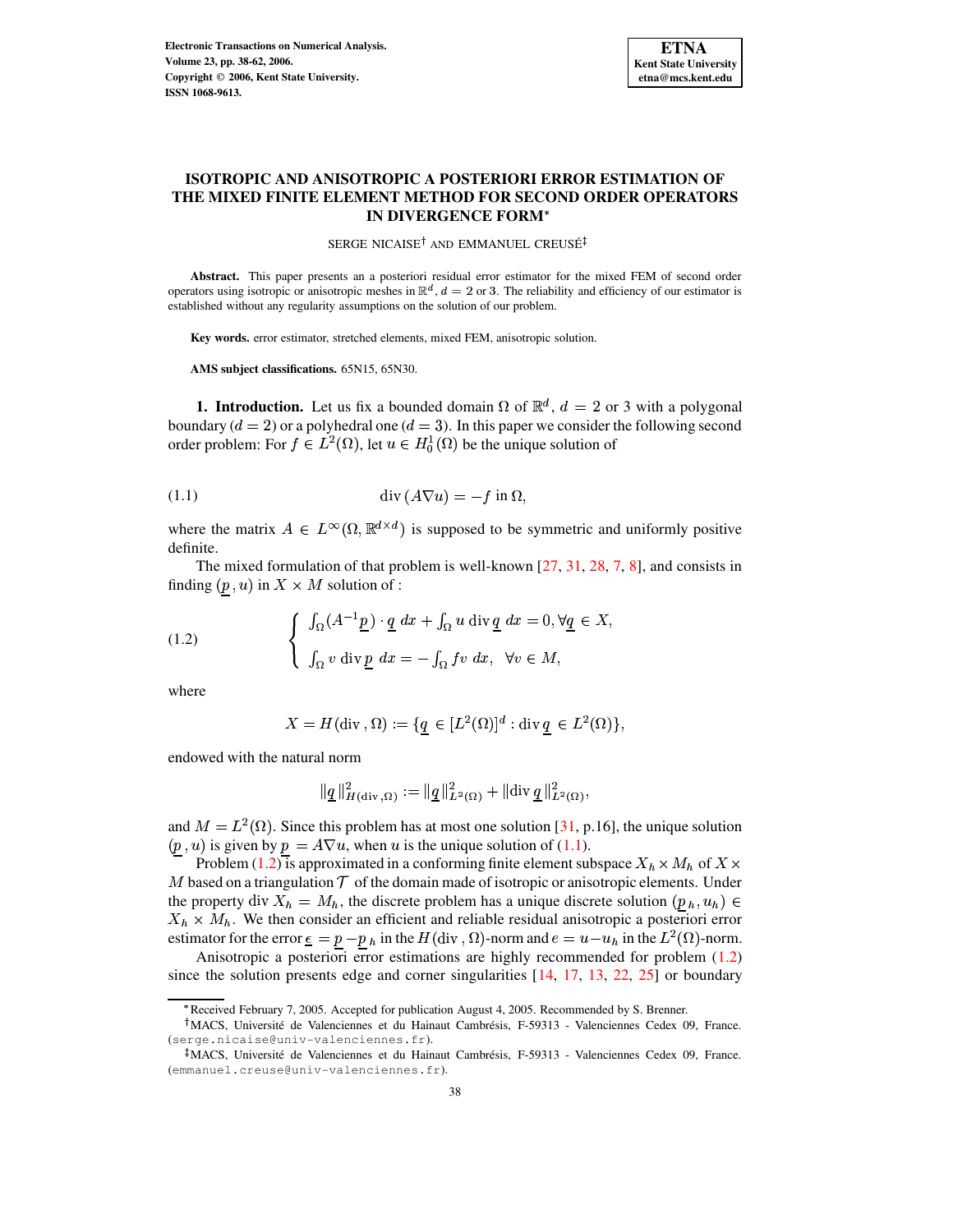

# **ISOTROPIC AND ANISOTROPIC A POSTERIORI ERROR ESTIMATION OF THE MIXED FINITE ELEMENT METHOD FOR SECOND ORDER OPERATORS IN DIVERGENCE FORM**

SERGE NICAISE<sup>†</sup> AND EMMANUEL CREUSÉ

**Abstract.** This paper presents an a posteriori residual error estimator for the mixed FEM of second order operators using isotropic or anisotropic meshes in  $\mathbb{R}^d$ ,  $d = 2$  or 3. The reliability and efficiency of our estimator is established without any regularity assumptions on the solution of our problem.

**Key words.** error estimator, stretched elements, mixed FEM, anisotropic solution.

**AMS subject classifications.** 65N15, 65N30.

**1. Introduction.** Let us fix a bounded domain  $\Omega$  of  $\mathbb{R}^d$ ,  $d = 2$  or 3 with a polygonal boundary ( $d = 2$ ) or a polyhedral one ( $d = 3$ ). In this paper we consider the following second order problem: For  $f \in L^2(\Omega)$ , let  $u \in H_0^1(\Omega)$  be the unique solution of

<span id="page-0-0"></span>
$$
(1.1)\qquad \qquad \mathrm{div}\,(A\nabla u) = -f\,\mathrm{in}\,\Omega,
$$

where the matrix  $A \in L^{\infty}(\Omega, \mathbb{R}^{d \times d})$  is supposed to be symmetric and uniformly positive definite.

The mixed formulation of that problem is well-known [\[27,](#page-24-0) [31,](#page-24-1) [28,](#page-24-2) [7,](#page-23-0) [8\]](#page-23-1), and consists in finding  $(p, u)$  in  $X \times M$  solution of :

<span id="page-0-1"></span>(1.2) 
$$
\begin{cases} \int_{\Omega} (A^{-1} \underline{p}) \cdot \underline{q} \, dx + \int_{\Omega} u \, \text{div} \, \underline{q} \, dx = 0, \forall \underline{q} \in X, \\ \int_{\Omega} v \, \text{div} \, \underline{p} \, dx = - \int_{\Omega} f v \, dx, \ \forall v \in M, \end{cases}
$$

where

$$
X = H(\text{div}\, , \Omega) := \{ \underline{q} \in [L^2(\Omega)]^d : \text{div}\, \underline{q} \in L^2(\Omega) \},
$$

endowed with the natural norm

$$
\|\underline{q}\|_{H(\text{div}\, ,\Omega)}^2 := \|\underline{q}\|_{L^2(\Omega)}^2 + \|\text{div}\,\underline{q}\|_{L^2(\Omega)}^2,
$$

and  $M = L<sup>2</sup>(\Omega)$ . Since this problem has at most one solution [\[31,](#page-24-1) p.16], the unique solution  $(p, u)$  is given by  $p = A\nabla u$ , when u is the unique solution of [\(1.1\)](#page-0-0).

Problem [\(1.2\)](#page-0-1) is approximated in a conforming finite element subspace  $X_h \times M_h$  of  $X \times$ M based on a triangulation  $\mathcal T$  of the domain made of isotropic or anisotropic elements. Under the property div  $X_h = M_h$ , the discrete problem has a unique discrete solution  $(p_h, u_h) \in$  $X_h \times M_h$ . We then consider an efficient and reliable residual anisotropic a posteriori error estimator for the error  $\underline{\epsilon} = p - p_h$  in the  $H(\text{div}, \Omega)$ -norm and  $e = u - u_h$  in the  $L^2(\Omega)$ -norm.

Anisotropic a posteriori error estimations are highly recommended for problem [\(1.2\)](#page-0-1) since the solution presents edge and corner singularities [\[14,](#page-24-3) [17,](#page-24-4) [13,](#page-23-2) [22,](#page-24-5) [25\]](#page-24-6) or boundary

<sup>\*</sup> Received February 7, 2005. Accepted for publication August 4, 2005. Recommended by S. Brenner.

<sup>&</sup>lt;sup>†</sup>MACS, Université de Valenciennes et du Hainaut Cambrésis, F-59313 - Valenciennes Cedex 09, France. (serge.nicaise@univ-valenciennes.fr).

<sup>&</sup>lt;sup>‡</sup>MACS, Université de Valenciennes et du Hainaut Cambrésis, F-59313 - Valenciennes Cedex 09, France. (emmanuel.creuse@univ-valenciennes.fr).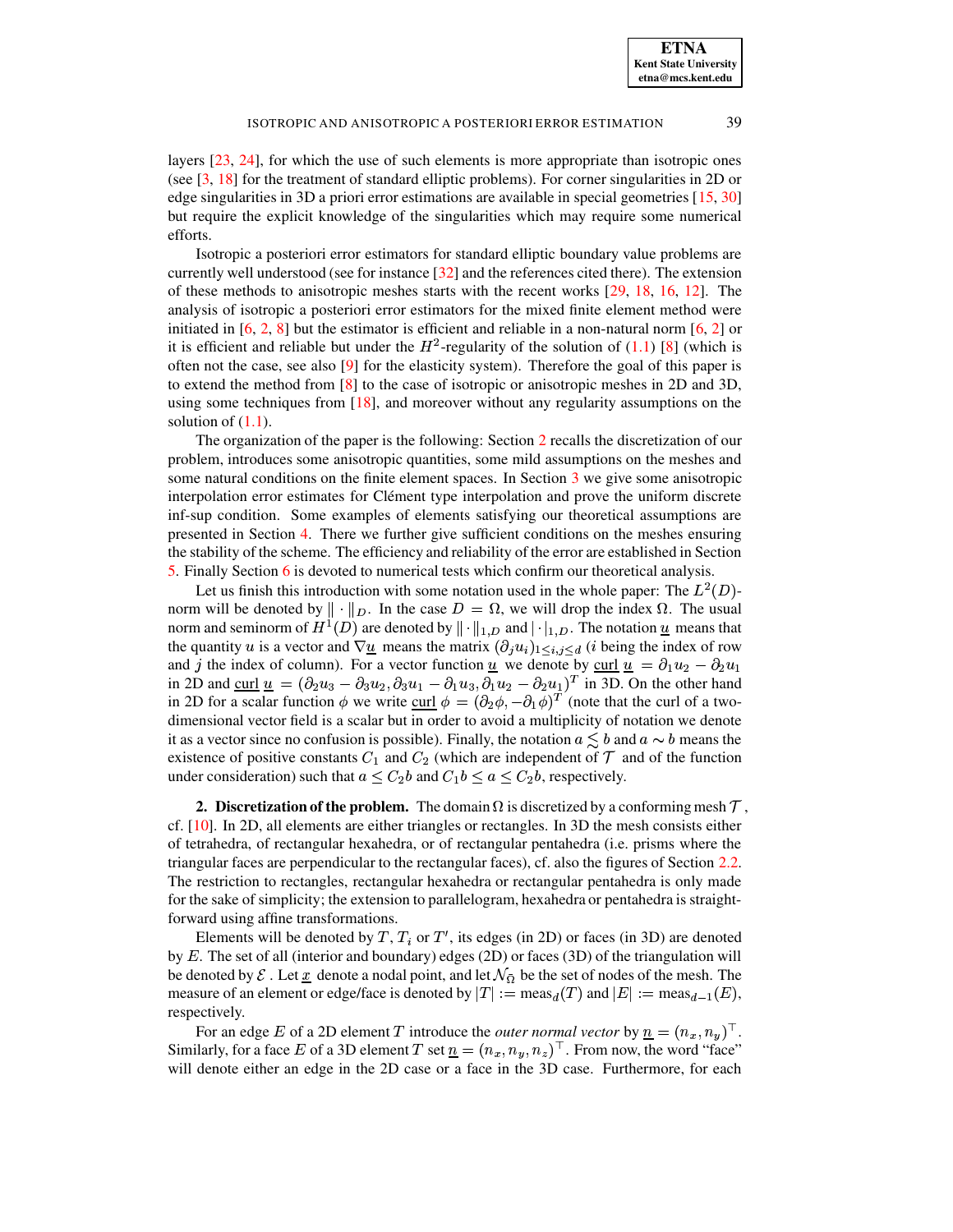layers [\[23,](#page-24-7) [24\]](#page-24-8), for which the use of such elements is more appropriate than isotropic ones (see [\[3,](#page-22-0) [18\]](#page-24-9) for the treatment of standard elliptic problems). For corner singularities in 2D or edge singularities in 3D a priori error estimations are available in special geometries [\[15,](#page-24-10) [30\]](#page-24-11) but require the explicit knowledge of the singularities which may require some numerical efforts.

Isotropic a posteriori error estimators for standard elliptic boundary value problems are currently well understood (see for instance [\[32\]](#page-24-12) and the references cited there). The extension of these methods to anisotropic meshes starts with the recent works [\[29,](#page-24-13) [18,](#page-24-9) [16,](#page-24-14) [12\]](#page-23-3). The analysis of isotropic a posteriori error estimators for the mixed finite element method were initiated in  $[6, 2, 8]$  $[6, 2, 8]$  $[6, 2, 8]$  $[6, 2, 8]$  $[6, 2, 8]$  but the estimator is efficient and reliable in a non-natural norm  $[6, 2]$  $[6, 2]$  or it is efficient and reliable but under the  $H^2$ -regularity of the solution of [\(1.1\)](#page-0-0) [\[8\]](#page-23-1) (which is often not the case, see also [\[9\]](#page-23-5) for the elasticity system). Therefore the goal of this paper is to extend the method from [\[8\]](#page-23-1) to the case of isotropic or anisotropic meshes in 2D and 3D, using some techniques from [\[18\]](#page-24-9), and moreover without any regularity assumptions on the solution of  $(1.1)$ .

The organization of the paper is the following: Section [2](#page-1-0) recalls the discretization of our problem, introduces some anisotropic quantities, some mild assumptions on the meshes and some natural conditions on the finite element spaces. In Section [3](#page-5-0) we give some anisotropic interpolation error estimates for Clément type interpolation and prove the uniform discrete inf-sup condition. Some examples of elements satisfying our theoretical assumptions are presented in Section [4.](#page-8-0) There we further give sufficient conditions on the meshes ensuring the stability of the scheme. The efficiency and reliability of the error are established in Section [5.](#page-15-0) Finally Section [6](#page-20-0) is devoted to numerical tests which confirm our theoretical analysis.

Let us finish this introduction with some notation used in the whole paper: The  $L^2(D)$ norm will be denoted by  $\|\cdot\|_D$ . In the case  $D = \Omega$ , we will drop the index  $\Omega$ . The usual norm and seminorm of  $H^1(D)$  are denoted by  $\|\cdot\|_{1,D}$  and  $|\cdot|_{1,D}$ . The notation  $\underline{u}$  means that the quantity u is a vector and  $\nabla \underline{u}$  means the matrix  $(\partial_j u_i)_{1 \le i,j \le d}$  (*i* being the index of row and *j* the index of column). For a vector function <u>u</u> we denote by <u>curl  $\underline{u} = \partial_1 u_2 - \partial_2 u_1$ </u> in 2D and curl  $\underline{u} = (\partial_2 u_3 - \partial_3 u_2, \partial_3 u_1 - \partial_1 u_3, \partial_1 u_2 - \partial_2 u_1)^T$  in 3D. On the other hand in 2D for a scalar function  $\phi$  we write curl  $\phi = (\partial_2 \phi, -\partial_1 \phi)^T$  (note that the curl of a twodimensional vector field is a scalar but in order to avoid a multiplicity of notation we denote it as a vector since no confusion is possible). Finally, the notation  $a \leq b$  and  $a \sim b$  means the existence of positive constants  $C_1$  and  $C_2$  (which are independent of  $\mathcal T$  and of the function under consideration) such that  $a \leq C_2 b$  and  $C_1 b \leq a \leq C_2 b$ , respectively.

<span id="page-1-0"></span>**2. Discretization of the problem.** The domain  $\Omega$  is discretized by a conforming mesh  $\mathcal{T}$ , cf. [\[10\]](#page-23-6). In 2D, all elements are either triangles or rectangles. In 3D the mesh consists either of tetrahedra, of rectangular hexahedra, or of rectangular pentahedra (i.e. prisms where the triangular faces are perpendicular to the rectangular faces), cf. also the figures of Section [2.2.](#page-2-0) The restriction to rectangles, rectangular hexahedra or rectangular pentahedra is only made for the sake of simplicity; the extension to parallelogram, hexahedra or pentahedra is straightforward using affine transformations.

Elements will be denoted by  $T$ ,  $T_i$  or  $T'$ , its edges (in 2D) or faces (in 3D) are denoted by  $E$ . The set of all (interior and boundary) edges (2D) or faces (3D) of the triangulation will be denoted by  $\mathcal E$ . Let  $\underline{x}$  denote a nodal point, and let  $\mathcal N_{\overline{\Omega}}$  be the set of nodes of the mesh. The measure of an element or edge/face is denoted by  $|T| := meas_d(T)$  and  $|E| := meas_{d-1}(E)$ , respectively.

For an edge E of a 2D element T introduce the *outer normal vector* by  $\underline{n} = (n_x, n_y)^\top$ . Similarly, for a face E of a 3D element T set  $\underline{n} = (n_x, n_y, n_z)^\top$ . From now, the word "face" will denote either an edge in the 2D case or a face in the 3D case. Furthermore, for each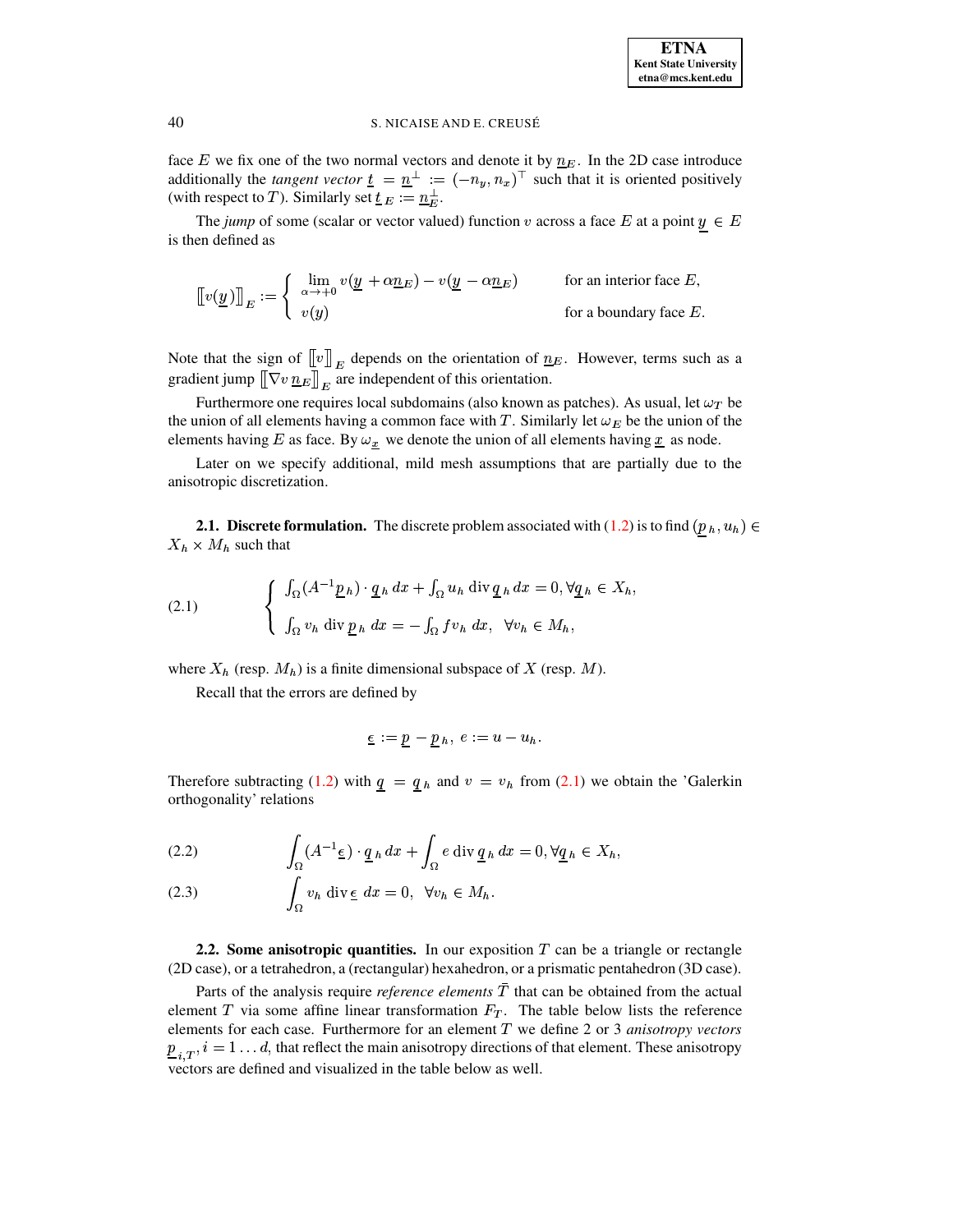face E we fix one of the two normal vectors and denote it by  $n_E$ . In the 2D case introduce additionally the *tangent vector*  $\underline{t} = \underline{n}^{\perp} := (-n_y, n_x)^{\top}$  such that it is oriented positively (with respect to T). Similarly set  $\underline{t}_E := \underline{n}_E^{\perp}$ .

The jump of some (scalar or vector valued) function v across a face E at a point  $y \in E$ is then defined as

$$
\llbracket v(\underline{y}) \rrbracket_E := \begin{cases} \lim_{\alpha \to +0} v(\underline{y} + \alpha \underline{n}_E) - v(\underline{y} - \alpha \underline{n}_E) & \text{for an interior face } E, \\ v(y) & \text{for a boundary face } E. \end{cases}
$$

Note that the sign of  $[[v]]_E$  depends on the orientation of  $\underline{n}_E$ . However, terms such as a gradient jump  $[\![\nabla v \, \underline{n}_E]\!]_E$  are independent of this orientation.

Furthermore one requires local subdomains (also known as patches). As usual, let  $\omega_T$  be the union of all elements having a common face with T. Similarly let  $\omega_E$  be the union of the elements having E as face. By  $\omega_x$  we denote the union of all elements having  $\underline{x}$  as node.

Later on we specify additional, mild mesh assumptions that are partially due to the anisotropic discretization.

**2.1. Discrete formulation.** The discrete problem associated with (1.2) is to find  $(p_h, u_h) \in$  $X_h \times M_h$  such that

<span id="page-2-1"></span>(2.1) 
$$
\begin{cases} \int_{\Omega} (A^{-1} \underline{p}_h) \cdot \underline{q}_h dx + \int_{\Omega} u_h \operatorname{div} \underline{q}_h dx = 0, \forall \underline{q}_h \in X_h \\ \int_{\Omega} v_h \operatorname{div} \underline{p}_h dx = - \int_{\Omega} f v_h dx, \quad \forall v_h \in M_h, \end{cases}
$$

where  $X_h$  (resp.  $M_h$ ) is a finite dimensional subspace of X (resp. M).

Recall that the errors are defined by

$$
\underline{\epsilon} := \underline{p} - \underline{p}_h, \ e := u - u_h
$$

Therefore subtracting (1.2) with  $q = q_h$  and  $v = v_h$  from (2.1) we obtain the 'Galerkin orthogonality' relations

<span id="page-2-2"></span>(2.2) 
$$
\int_{\Omega} (A^{-1} \underline{\epsilon}) \cdot \underline{q}_h dx + \int_{\Omega} e \operatorname{div} \underline{q}_h dx = 0, \forall \underline{q}_h \in X_h,
$$

$$
(2.3) \qquad \qquad \int_{\Omega} v_h \, \mathrm{div} \, \underline{\epsilon} \, \, dx = 0, \ \ \forall v_h \in M_h.
$$

<span id="page-2-0"></span>2.2. Some anisotropic quantities. In our exposition  $T$  can be a triangle or rectangle (2D case), or a tetrahedron, a (rectangular) hexahedron, or a prismatic pentahedron (3D case).

Parts of the analysis require *reference elements*  $\overline{T}$  that can be obtained from the actual element  $T$  via some affine linear transformation  $F_T$ . The table below lists the reference elements for each case. Furthermore for an element  $T$  we define 2 or 3 *anisotropy vectors*  $\underline{p}_{i,T}$ ,  $i = 1...d$ , that reflect the main anisotropy directions of that element. These anisotropy vectors are defined and visualized in the table below as well.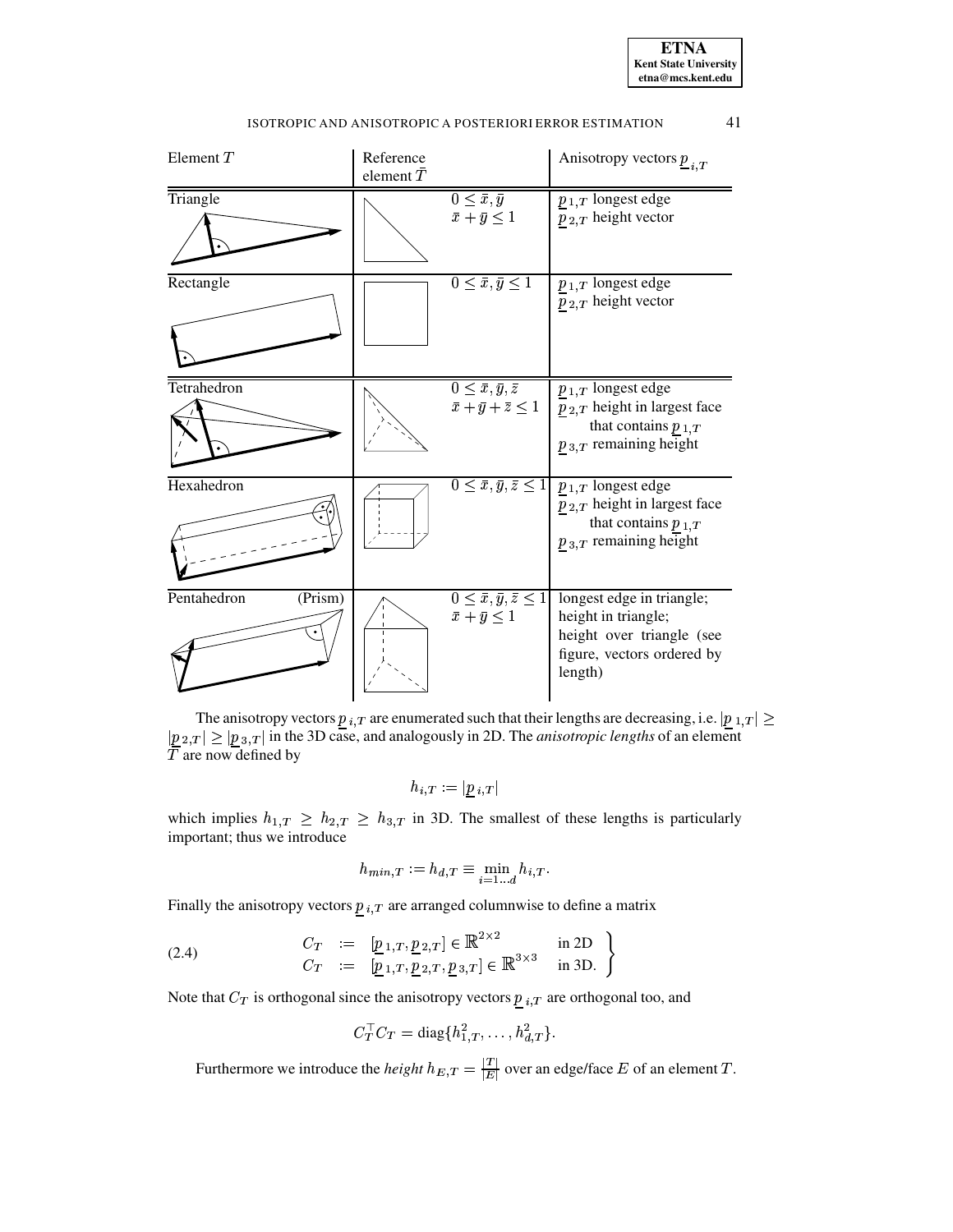| Element $T$            | Reference<br>element $\bar{T}$ |                                                                            | Anisotropy vectors $\underline{p}_{i,T}$                                                                                                                      |
|------------------------|--------------------------------|----------------------------------------------------------------------------|---------------------------------------------------------------------------------------------------------------------------------------------------------------|
| Triangle               |                                | $0 \leq \bar{x}, \bar{y}$<br>$\bar{x}+\bar{y}\leq 1$                       | $p_{1,T}$ longest edge<br>$p_{2,T}$ height vector                                                                                                             |
| Rectangle              |                                | $0 \leq \bar{x}, \bar{y} \leq 1$                                           | $p_{1,T}$ longest edge<br>$p_{2,T}$ height vector                                                                                                             |
| Tetrahedron            |                                | $0 \leq \bar{x}, \bar{y}, \bar{z}$<br>$\bar{x} + \bar{y} + \bar{z} \leq 1$ | $p_{1,T}$ longest edge<br>$p_{2,T}$ height in largest face<br>that contains $p_{1,T}$<br>$p_{3,T}$ remaining height                                           |
| Hexahedron             |                                |                                                                            | $0 \leq \bar{x}, \bar{y}, \bar{z} \leq 1$ $p_{1,T}$ longest edge<br>$p_{2,T}$ height in largest face<br>that contains $p_{1,T}$<br>$p_{3,T}$ remaining height |
| (Prism)<br>Pentahedron |                                | $0 \leq \bar{x}, \bar{y}, \bar{z} \leq 1$<br>$\bar{x}+\bar{y}\leq 1$       | longest edge in triangle;<br>height in triangle;<br>height over triangle (see<br>figure, vectors ordered by<br>length)                                        |

The anisotropy vectors  $p_{i,T}$  are enumerated such that their lengths are decreasing, i.e.  $|p_{1,T}| \geq$  $|\underline{p}_{2,T}| \geq |\underline{p}_{3,T}|$  in the 3D case, and analogously in 2D. The *anisotropic lengths* of an element  $T$  are now defined by

$$
h_{i,\,T}:=|\underline{p}_{\,i,\,T}|
$$

which implies  $h_{1,T} \geq h_{2,T} \geq h_{3,T}$  in 3D. The smallest of these lengths is particularly important; thus we introduce  $h_{min} r := h_d$ 

$$
h_{min,T} := h_{d,T} \equiv \min_{i=1...d} h_{i,T}.
$$

Finally the anisotropy vectors  $p_{i,T}$  are arranged columnwise to define a matrix

(2.4) 
$$
\begin{array}{rcl}\nC_T & := & [p_{1,T}, p_{2,T}] \in \mathbb{R}^{2 \times 2} & \text{in 2D} \\
C_T & := & [p_{1,T}, p_{2,T}, p_{3,T}] \in \mathbb{R}^{3 \times 3} & \text{in 3D.}\n\end{array}
$$

Note that  $C_T$  is orthogonal since the anisotropy vectors  $p_{i,T}$  are orthogonal too, and

$$
C_T^{\top} C_T = \text{diag}\{h_{1,T}^2, \dots, h_{d,T}^2\}.
$$

Furthermore we introduce the *height*  $h_{E,T} = \frac{|T|}{|E|}$  over an edge/face E of an element T.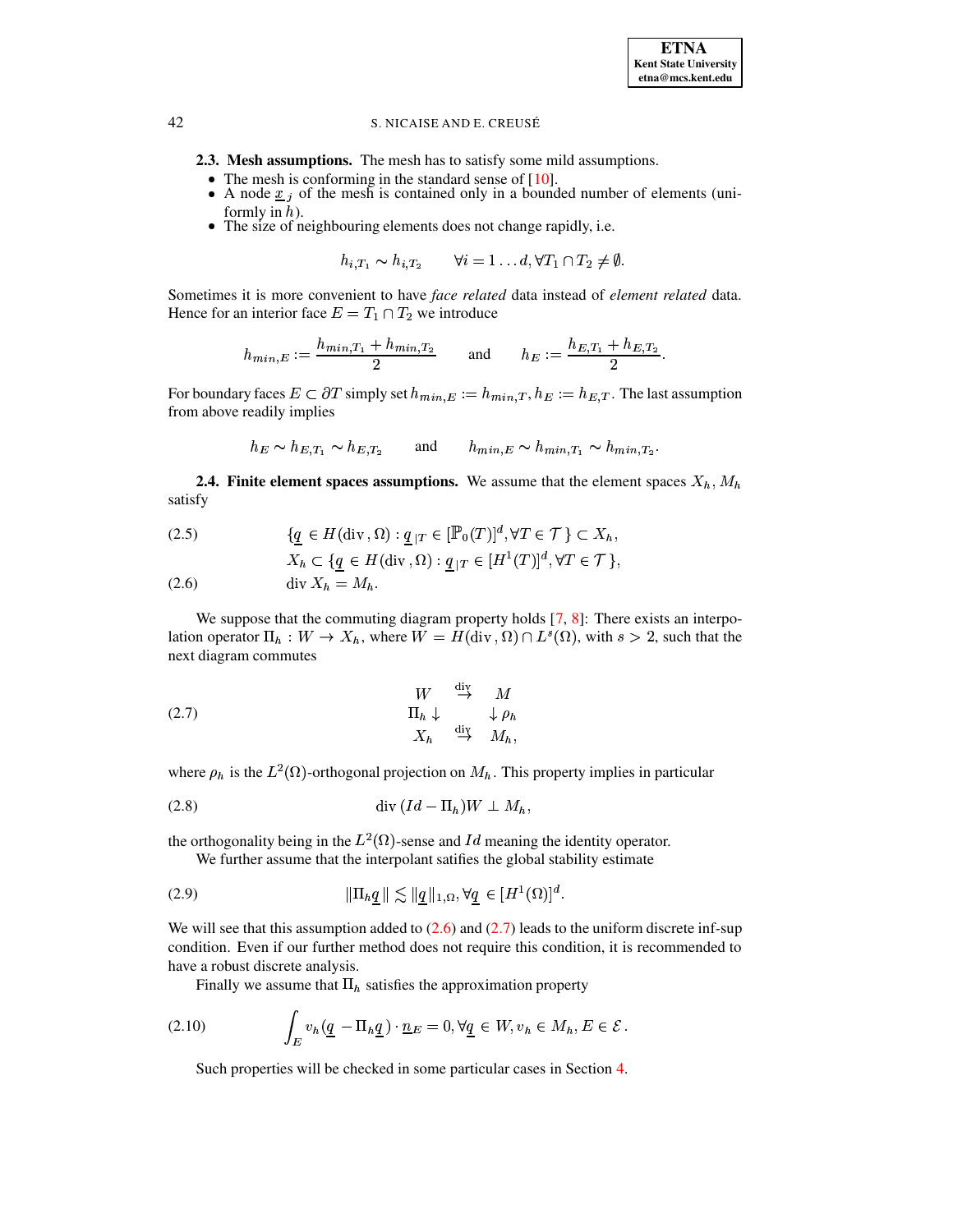- 2.3. Mesh assumptions. The mesh has to satisfy some mild assumptions.
	- The mesh is conforming in the standard sense of  $[10]$ .
	- A node  $\underline{x}_j$  of the mesh is contained only in a bounded number of elements (uniformly in  $h$ ).
	- The size of neighbouring elements does not change rapidly, i.e.

$$
h_{i,T_1} \sim h_{i,T_2} \qquad \forall i=1 \ldots d, \forall T_1 \cap T_2 \neq \emptyset.
$$

Sometimes it is more convenient to have face related data instead of element related data. Hence for an interior face  $E = T_1 \cap T_2$  we introduce

$$
h_{min,E} := \frac{h_{min,T_1} + h_{min,T_2}}{2} \quad \text{and} \quad h_E := \frac{h_{E,T_1} + h_{E,T_2}}{2}
$$

For boundary faces  $E \subset \partial T$  simply set  $h_{min,E} := h_{min,T}$ ,  $h_E := h_{E,T}$ . The last assumption from above readily implies

$$
h_E \sim h_{E,T_1} \sim h_{E,T_2} \quad \text{and} \quad h_{min,E} \sim h_{min,T_1} \sim h_{min,T_2}
$$

**2.4. Finite element spaces assumptions.** We assume that the element spaces  $X_h$ ,  $M_h$ satisfy

<span id="page-4-0"></span>(2.5) 
$$
\{ \underline{q} \in H(\text{div}, \Omega) : \underline{q}_{|T} \in [\mathbb{P}_0(T)]^d, \forall T \in \mathcal{T} \} \subset X_h,
$$

$$
X_h \subset \{ \underline{q} \in H(\text{div}\, , \Omega) : \underline{q}_{|T} \in [H^1(T)]^d, \forall T \in \mathcal{T} \},
$$

 $(2.6)$  $\mathrm{div}\,X_h = M_h.$ 

We suppose that the commuting diagram property holds  $[7, 8]$ : There exists an interpolation operator  $\Pi_h : W \to X_h$ , where  $W = H(\text{div}, \Omega) \cap L^s(\Omega)$ , with  $s > 2$ , such that the next diagram commutes

<span id="page-4-1"></span>(2.7) 
$$
\begin{array}{ccc}\nW & \stackrel{\text{div}}{\rightarrow} & M \\
\Pi_h \downarrow & & \downarrow \rho_h \\
X_h & \stackrel{\text{div}}{\rightarrow} & M_h,\n\end{array}
$$

where  $\rho_h$  is the  $L^2(\Omega)$ -orthogonal projection on  $M_h$ . This property implies in particular

the orthogonality being in the  $L^2(\Omega)$ -sense and Id meaning the identity operator.

<span id="page-4-3"></span><span id="page-4-2"></span>We further assume that the interpolant satifies the global stability estimate

$$
(2.9) \t\t\t\t \|\Pi_h q\| \lesssim \|q\|_{1,\Omega}, \forall q \in [H^1(\Omega)]^d
$$

We will see that this assumption added to  $(2.6)$  and  $(2.7)$  leads to the uniform discrete inf-sup condition. Even if our further method does not require this condition, it is recommended to have a robust discrete analysis.

Finally we assume that  $\Pi_h$  satisfies the approximation property

<span id="page-4-4"></span>(2.10) 
$$
\int_E v_h(\underline{q} - \Pi_h \underline{q}) \cdot \underline{n}_E = 0, \forall \underline{q} \in W, v_h \in M_h, E \in \mathcal{E}.
$$

Such properties will be checked in some particular cases in Section 4.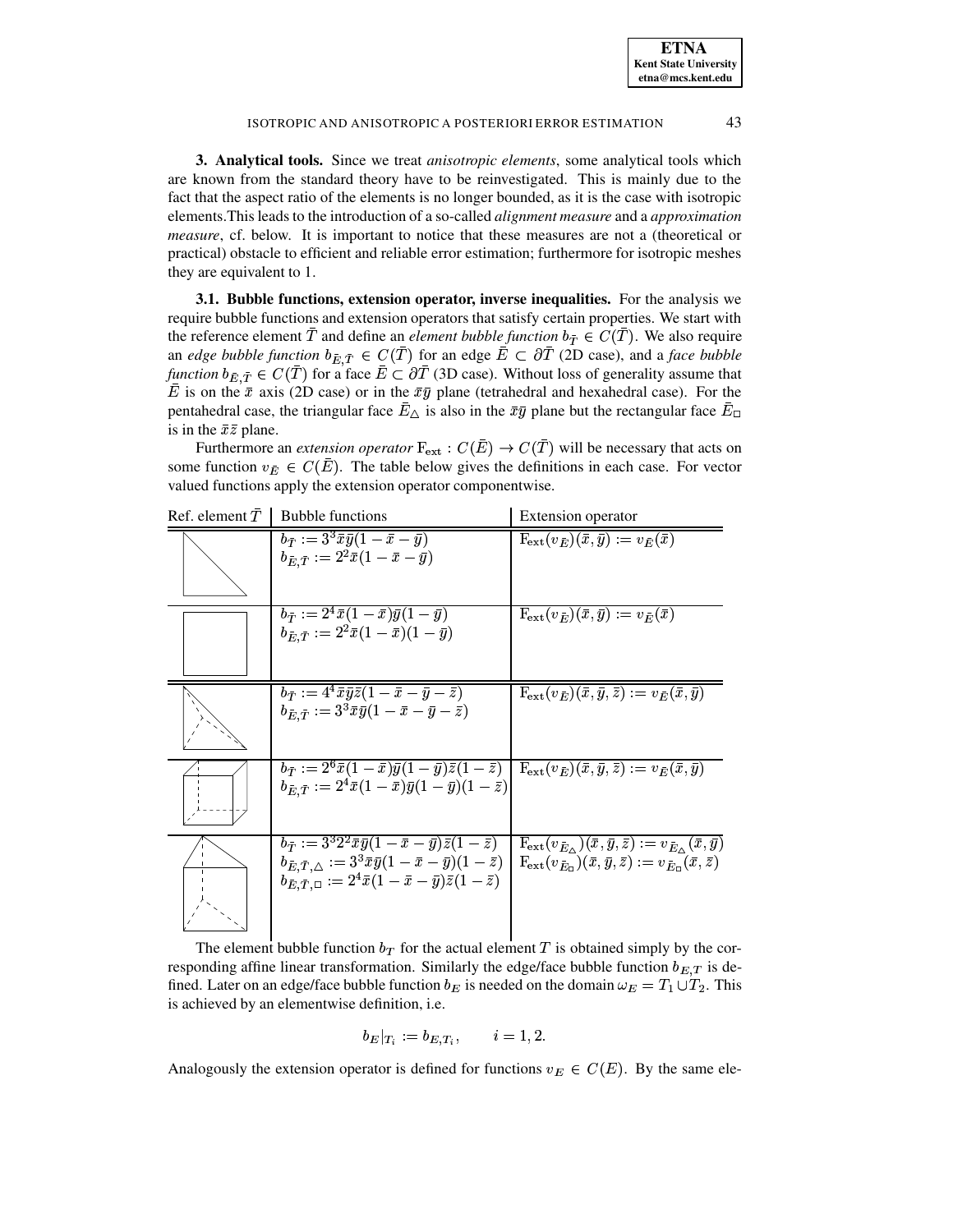**ETNA Kent State University etna@mcs.kent.edu**

## ISOTROPIC AND ANISOTROPIC A POSTERIORI ERROR ESTIMATION 43

<span id="page-5-0"></span>**3. Analytical tools.** Since we treat *anisotropic elements*, some analytical tools which are known from the standard theory have to be reinvestigated. This is mainly due to the fact that the aspect ratio of the elements is no longer bounded, as it is the case with isotropic elements.This leads to the introduction of a so-called *alignment measure* and a *approximation measure*, cf. below. It is important to notice that these measures are not a (theoretical or practical) obstacle to efficient and reliable error estimation; furthermore for isotropic meshes they are equivalent to 1.

**3.1. Bubble functions, extension operator, inverse inequalities.** For the analysis we require bubble functions and extension operators that satisfy certain properties. We start with the reference element  $T$  and define an *element bubble function*  $b_{\overline{T}} \in C(T)$ . We also require an *edge bubble* function  $b_{\overline{E}, \overline{T}} \in C(T)$  for an edge  $E \subset \partial T$  (2D case), and a face *bubble function*  $b_{\bar{E}, \bar{T}} \in C(T)$  for a face  $E \subset \partial T$  (3D case). Without loss of generality assume that E is on the  $\bar{x}$  axis (2D case) or in the  $\bar{x}\bar{y}$  plane (tetrahedral and hexahedral case). For the pentahedral case, the triangular face  $E_{\Delta}$  is also in the  $\bar{x}\bar{y}$  plane but the rectangular face  $E_{\Box}$ is in the  $\bar{x}\bar{z}$  plane.

Furthermore an *extension operator*  $F_{ext} : C(\overline{E}) \to C(\overline{T})$  will be necessary that acts on some function  $v_{\bar{E}} \in C(\bar{E})$ . The table below gives the definitions in each case. For vector valued functions apply the extension operator componentwise.

| Ref. element $T$ | <b>Bubble functions</b>                                                                                                                                                                                                                                                 | <b>Extension</b> operator                                                                                                                                                                |
|------------------|-------------------------------------------------------------------------------------------------------------------------------------------------------------------------------------------------------------------------------------------------------------------------|------------------------------------------------------------------------------------------------------------------------------------------------------------------------------------------|
|                  | $\overline{b_{\bar{T}}}:=3^3\bar{x}\bar{y}(1-\bar{x}-\bar{y})$<br>$b_{\bar{E} \cdot \bar{T}} := 2^2 \bar{x} (1 - \bar{x} - \bar{y})$                                                                                                                                    | $\mathbf{F}_{\mathrm{ext}}(v_{\bar{E}})(\bar{x},\bar{y}) := v_{\bar{E}}(\bar{x})$                                                                                                        |
|                  | $b_{\bar{T}} := 2^4 \bar{x} (1 - \bar{x}) \bar{y} (1 - \bar{y})$<br>$b_{\bar{E}.\bar{T}} := 2^2 \bar{x} (1-\bar{x}) (1-\bar{y})$                                                                                                                                        | $\mathbf{F}_{\mathrm{ext}}(v_{\bar{E}})(\bar{x},\bar{y}) := v_{\bar{E}}(\bar{x})$                                                                                                        |
|                  | $b_{\bar{T}} := 4^4 \bar{x} \bar{y} \bar{z} (1 - \bar{x} - \bar{y} - \bar{z})$<br>$b_{\bar{E}.\bar{T}}:=3^3\bar{x}\bar{y}(1-\bar{x}-\bar{y}-\bar{z})$                                                                                                                   | $F_{ext}(v_{\bar{E}})(\bar{x}, \bar{y}, \bar{z}) := v_{\bar{E}}(\bar{x}, \bar{y})$                                                                                                       |
|                  | $b_{\bar{T}} := 2^6 \bar{x} (1-\bar{x}) \bar{y} (1-\bar{y}) \bar{z} (1-\bar{z})$<br>$b_{\bar{E}.\bar{T}} := 2^4 \bar{x} (1-\bar{x}) \bar{y} (1-\bar{y}) (1-\bar{z})$                                                                                                    | $\mid \, {\rm F}_{\rm ext} (v_{\bar{E}})({\bar {x}}, {\bar {y}}, {\bar {z}}) := v_{\bar{E}}({\bar {x}}, {\bar {y}})$                                                                     |
|                  | $b_{\bar{T}} := 3^3 2^2 \bar{x} \bar{y} (1 - \bar{x} - \bar{y}) \bar{z} (1 - \bar{z})$<br>$b_{\bar{E},\bar{T},\triangle}:=3^3\bar{x}\bar{y}(1-\bar{x}-\bar{y})(1-\bar{z})$<br>$b_{\bar{E}, \bar{T}, \Box} := 2^4 \bar{x} (1 - \bar{x} - \bar{y}) \bar{z} (1 - \bar{z})$ | $F_{\rm ext}(v_{\bar{E}_{\wedge}})(\bar{x},\bar{y},\bar{z}):=v_{\bar{E}_{\wedge}}(\bar{x},\bar{y})$<br>$F_{ext}(v_{\bar{E}_n})(\bar{x},\bar{y},\bar{z}):=v_{\bar{E}_n}(\bar{x},\bar{z})$ |

The element bubble function  $b_T$  for the actual element T is obtained simply by the corresponding affine linear transformation. Similarly the edge/face bubble function  $b_{E,T}$  is defined. Later on an edge/face bubble function  $b_E$  is needed on the domain  $\omega_E = T_1 \cup T_2$ . This is achieved by an elementwise definition, i.e.

$$
b_E|_{T_i}:=b_{E,T_i},\qquad i=1,2.
$$

Analogously the extension operator is defined for functions  $v_E \in C(E)$ . By the same ele-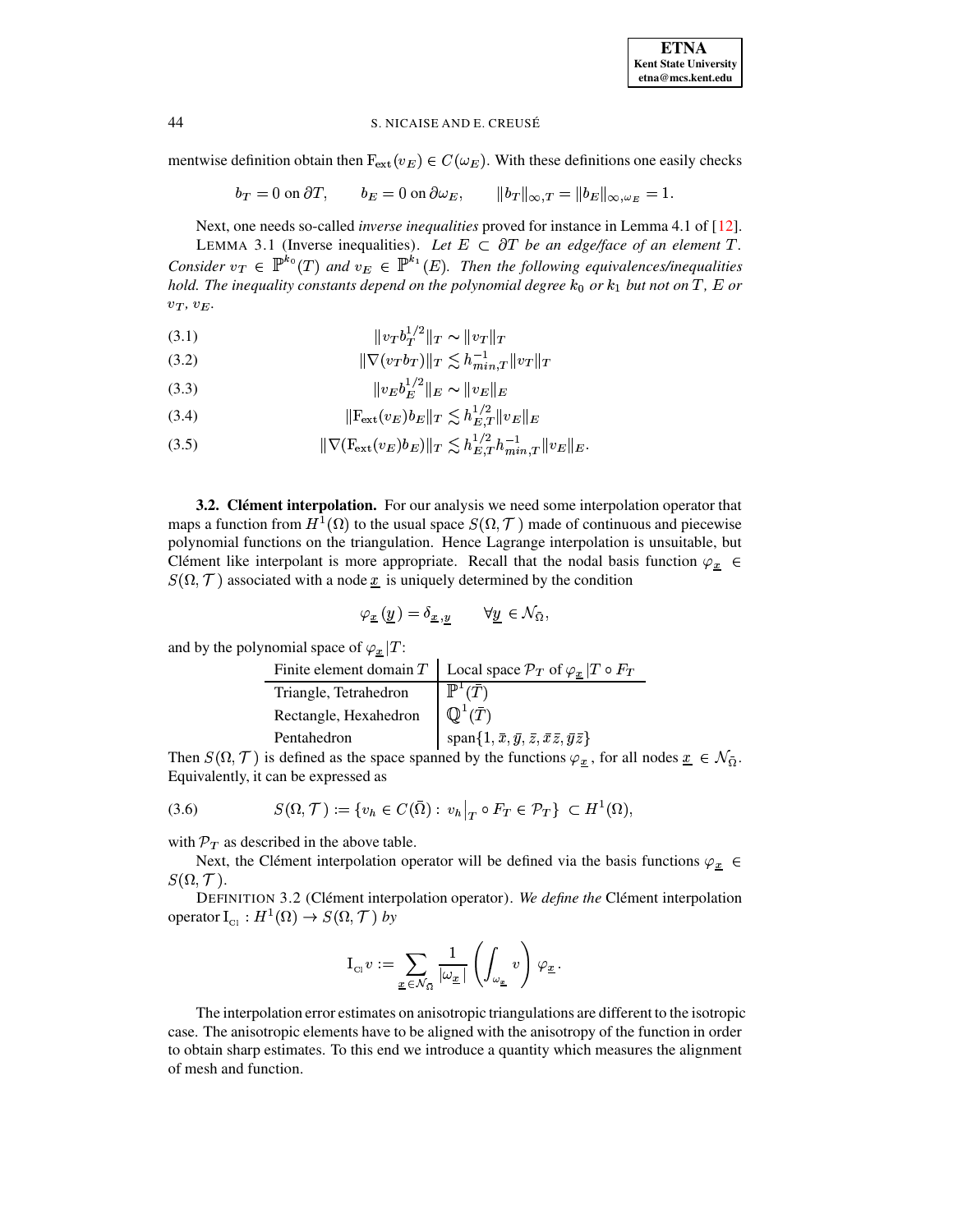mentwise definition obtain then  $F_{ext}(v_E) \in C(\omega_E)$ . With these definitions one easily checks

$$
b_T = 0
$$
 on  $\partial T$ ,  $b_E = 0$  on  $\partial \omega_E$ ,  $||b_T||_{\infty,T} = ||b_E||_{\infty,\omega_E} = 1$ .

Next, one needs so-called *inverse inequalities* proved for instance in Lemma 4.1 of [12]. LEMMA 3.1 (Inverse inequalities). Let  $E \subset \partial T$  be an edge/face of an element T. Consider  $v_T \in \mathbb{P}^{k_0}(T)$  and  $v_E \in \mathbb{P}^{k_1}(E)$ . Then the following equivalences/inequalities hold. The inequality constants depend on the polynomial degree  $k_0$  or  $k_1$  but not on T, E or

<span id="page-6-0"></span>
$$
(3.1)\t\t\t\t\t||v_{T}b_{T}^{1/2}||_{T} \sim ||v_{T}||_{T}
$$

(3.2) 
$$
\|\nabla(v_T b_T)\|_T \lesssim h_{min,T}^{-1} \|v_T\|_T
$$

$$
(3.3) \t\t\t\t||v_E b_E^{1/2}||_E \sim ||v_E||_E
$$

(3.4) 
$$
\|F_{ext}(v_E)b_E\|_T \lesssim h_{E,T}^{1/2} \|v_E\|_E
$$

(3.5) 
$$
\|\nabla (\mathbf{F}_{ext}(v_E)b_E)\|_T \lesssim h_{E,T}^{1/2} h_{min,T}^{-1} \|v_E\|_E.
$$

**3.2. Clément interpolation.** For our analysis we need some interpolation operator that maps a function from  $H^1(\Omega)$  to the usual space  $S(\Omega, \mathcal{T})$  made of continuous and piecewise polynomial functions on the triangulation. Hence Lagrange interpolation is unsuitable, but Clément like interpolant is more appropriate. Recall that the nodal basis function  $\varphi_x \in$  $S(\Omega, \mathcal{T})$  associated with a node x is uniquely determined by the condition

$$
\varphi_{\underline{x}}\left(\underline{y}\right) = \delta_{\underline{x},\underline{y}} \qquad \forall \underline{y} \in \mathcal{N}_{\bar{\Omega}},
$$

and by the polynomial space of  $\varphi_{\underline{x}} |T$ :

| Finite element domain $T$ | Local space $\mathcal{P}_T$ of $\varphi_x   T \circ F_T$        |
|---------------------------|-----------------------------------------------------------------|
| Triangle, Tetrahedron     | $\mathbb{P}^1(\bar{T})$                                         |
| Rectangle, Hexahedron     | $\overline{\mathbb{Q}^1(T)}$                                    |
| Pentahedron               | $span{1,\bar{x},\bar{y},\bar{z},\bar{x}\bar{z},\bar{y}\bar{z}}$ |

Then  $S(\Omega, \mathcal{T})$  is defined as the space spanned by the functions  $\varphi_{\underline{x}}$ , for all nodes  $\underline{x} \in \mathcal{N}_{\overline{\Omega}}$ . Equivalently, it can be expressed as

$$
(3.6) \qquad \qquad S(\Omega, \mathcal{T}) := \{ v_h \in C(\bar{\Omega}) : \left. v_h \right|_T \circ F_T \in \mathcal{P}_T \} \subset H^1(\Omega)
$$

with  $\mathcal{P}_T$  as described in the above table.

Next, the Clément interpolation operator will be defined via the basis functions  $\varphi_x$  $S(\Omega, \mathcal{T}).$ 

DEFINITION 3.2 (Clément interpolation operator). We define the Clément interpolation operator  $I_{\text{Cl}} : H^1(\Omega) \to S(\Omega, \mathcal{T})$  by

$$
\mathrm{I}_{\mathrm{Cl}} v := \sum_{\underline{x} \in \mathcal{N}_{\bar{\Omega}}} \frac{1}{|\omega_{\underline{x}}|} \left( \int_{\omega_{\underline{x}}} v \right) \varphi_{\underline{x}}.
$$

The interpolation error estimates on anisotropic triangulations are different to the isotropic case. The anisotropic elements have to be aligned with the anisotropy of the function in order to obtain sharp estimates. To this end we introduce a quantity which measures the alignment of mesh and function.

44

 $v_T, v_E$ .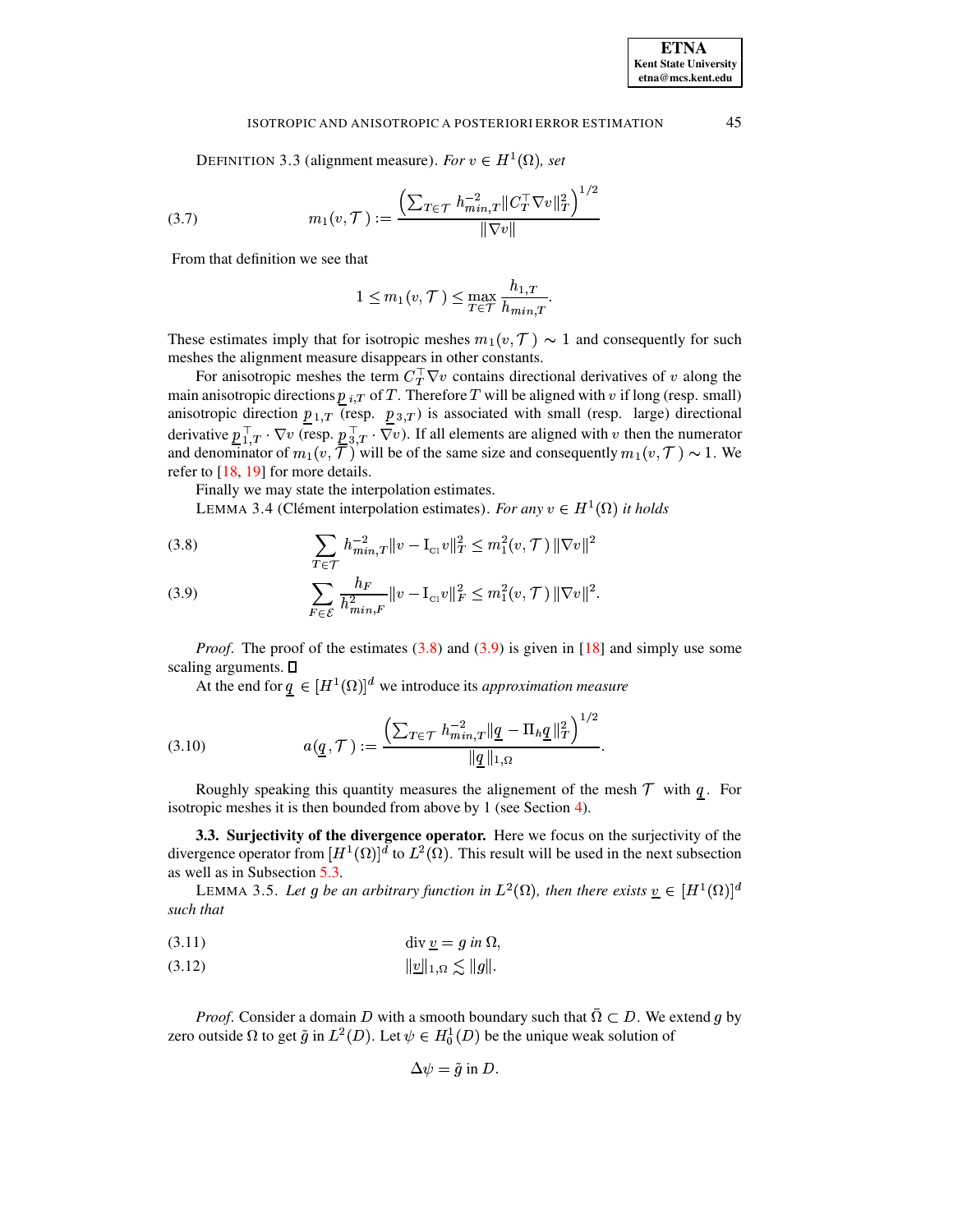DEFINITION 3.3 (alignment measure). For  $v \in H^1(\Omega)$ , set

(3.7) 
$$
m_1(v, \mathcal{T}) := \frac{\left(\sum_{T \in \mathcal{T}} h_{min,T}^{-2} || C_T^\top \nabla v ||_T^2\right)^{1/2}}{|| \nabla v ||}
$$

From that definition we see that

$$
1 \le m_1(v, \mathcal{T}) \le \max_{T \in \mathcal{T}} \frac{h_{1,T}}{h_{\min,T}}.
$$

These estimates imply that for isotropic meshes  $m_1(v, \mathcal{T}) \sim 1$  and consequently for such meshes the alignment measure disappears in other constants.

For anisotropic meshes the term  $C_T^{\top} \nabla v$  contains directional derivatives of v along the main anisotropic directions  $p_{i,T}$  of T. Therefore T will be aligned with v if long (resp. small) anisotropic direction  $\underline{p}_{1,T}$  (resp.  $\underline{p}_{3,T}$ ) is associated with small (resp. large) directional derivative  $p_{1,T}^{\top} \cdot \nabla v$  (resp.  $p_{3,T}^{\top} \cdot \nabla v$ ). If all elements are aligned with v then the numerator and denominator of  $m_1(v, \overline{\mathcal{T}})$  will be of the same size and consequently  $m_1(v, \mathcal{T}) \sim 1$ . We refer to  $[18, 19]$  for more details.

Finally we may state the interpolation estimates.

<span id="page-7-3"></span>LEMMA 3.4 (Clément interpolation estimates). For any  $v \in H^1(\Omega)$  it holds

<span id="page-7-0"></span>(3.8) 
$$
\sum_{T \in \mathcal{T}} h_{min,T}^{-2} ||v - \mathbf{I}_{\text{Cl}} v||_T^2 \le m_1^2(v, \mathcal{T}) ||\nabla v||^2
$$

(3.9) 
$$
\sum_{F \in \mathcal{E}} \frac{h_F}{h_{min,F}^2} ||v - \mathbf{I}_{\text{Cl}} v||_F^2 \le m_1^2(v, \mathcal{T}) ||\nabla v||^2
$$

*Proof.* The proof of the estimates  $(3.8)$  and  $(3.9)$  is given in [18] and simply use some scaling arguments.  $\square$ 

At the end for  $q \in [H^1(\Omega)]^d$  we introduce its *approximation measure* 

(3.10) 
$$
a(\underline{q}, \mathcal{T}) := \frac{\left(\sum_{T \in \mathcal{T}} h_{min,T}^{-2} || \underline{q} - \Pi_h \underline{q} ||_T^2\right)^{1/2}}{||\underline{q}||_{1,\Omega}}.
$$

Roughly speaking this quantity measures the alignement of the mesh  $T$  with  $q$ . For isotropic meshes it is then bounded from above by 1 (see Section 4).

3.3. Surjectivity of the divergence operator. Here we focus on the surjectivity of the divergence operator from  $[H^1(\Omega)]^d$  to  $L^2(\Omega)$ . This result will be used in the next subsection as well as in Subsection 5.3.

<span id="page-7-2"></span>LEMMA 3.5. Let g be an arbitrary function in  $L^2(\Omega)$ , then there exists  $\underline{v} \in [H^1(\Omega)]^d$ such that

<span id="page-7-1"></span>

$$
(3.12) \t\t\t ||\underline{v}||_{1,\Omega} \lesssim ||g||.
$$

*Proof.* Consider a domain D with a smooth boundary such that  $\overline{\Omega} \subset D$ . We extend g by zero outside  $\Omega$  to get  $\tilde{g}$  in  $L^2(D)$ . Let  $\psi \in H_0^1(D)$  be the unique weak solution of

$$
\Delta \psi = \tilde{g} \text{ in } D.
$$

45

**ETNA Kent State University**  $etna@mcs. kent.edu$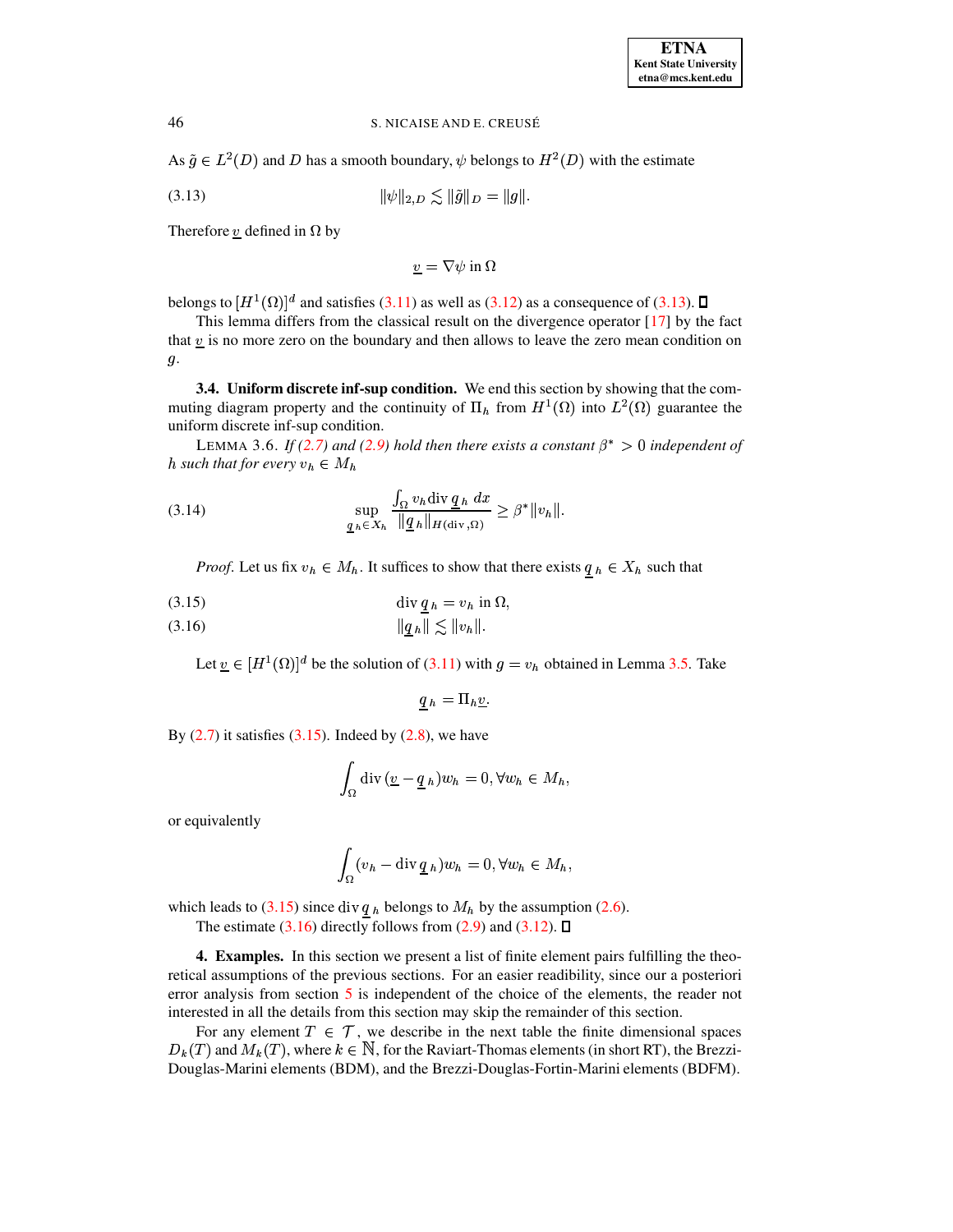As  $\tilde{g} \in L^2(D)$  and D has a smooth boundary,  $\psi$  belongs to  $H^2(D)$  with the estimate

<span id="page-8-1"></span>(3.13)  $\|\psi\|_{2,D} \lesssim \|\tilde{g}\|_{D} = \|g\|.$ 

Therefore  $\underline{v}$  defined in  $\Omega$  by

 $v = \nabla \psi$  in  $\Omega$ 

belongs to  $[H^1(\Omega)]^d$  and satisfies [\(3.11\)](#page-7-1) as well as [\(3.12\)](#page-7-1) as a consequence of [\(3.13\)](#page-8-1).  $\Box$ 

This lemma differs from the classical result on the divergence operator [\[17\]](#page-24-4) by the fact that  $v$  is no more zero on the boundary and then allows to leave the zero mean condition on  $g$ .

**3.4. Uniform discrete inf-sup condition.** We end this section by showing that the commuting diagram property and the continuity of  $\Pi_h$  from  $H^1(\Omega)$  into  $L^2(\Omega)$  guarantee the uniform discrete inf-sup condition.

LEMMA 3.6. *If* [\(2.7\)](#page-4-1) *and* [\(2.9\)](#page-4-2) *hold then there exists a constant*  $\beta^* > 0$  *independent of h* such that for every  $v_h \in M_h$ 

(3.14) 
$$
\sup_{\underline{q}_h \in X_h} \frac{\int_{\Omega} v_h \operatorname{div} \underline{q}_h dx}{\|\underline{q}_h\|_{H(\operatorname{div}, \Omega)}} \geq \beta^* \|v_h\|.
$$

<span id="page-8-2"></span>*Proof.* Let us fix  $v_h \in M_h$ . It suffices to show that there exists  $q_h \in X_h$  such that

$$
\operatorname{div} \underline{q} \, h = v_h \text{ in } \Omega,
$$

<sup>q</sup> <sup>S</sup> <sup>q</sup> § <sup>q</sup> ` <sup>q</sup> (3.16)

Let  $\underline{v} \in [H^1(\Omega)]^d$  be the solution of [\(3.11\)](#page-7-1) with  $g = v_h$  obtained in Lemma [3.5.](#page-7-2) Take

$$
q_h = \Pi_h \underline{v}.
$$

By  $(2.7)$  it satisfies  $(3.15)$ . Indeed by  $(2.8)$ , we have

$$
\int_{\Omega} \operatorname{div} (\underline{v} - \underline{q}_h) w_h = 0, \forall w_h \in M_h,
$$

or equivalently

$$
\int_{\Omega} (v_h - \operatorname{div} \underline{q}_h) w_h = 0, \forall w_h \in M_h,
$$

which leads to [\(3.15\)](#page-8-2) since div  $q_h$  belongs to  $M_h$  by the assumption [\(2.6\)](#page-4-0).

The estimate [\(3.16\)](#page-8-2) directly follows from [\(2.9\)](#page-4-2) and [\(3.12\)](#page-7-1).  $\square$ 

<span id="page-8-0"></span>**4. Examples.** In this section we present a list of finite element pairs fulfilling the theoretical assumptions of the previous sections. For an easier readibility, since our a posteriori error analysis from section [5](#page-15-0) is independent of the choice of the elements, the reader not interested in all the details from this section may skip the remainder of this section.

For any element  $T \in \mathcal{T}$ , we describe in the next table the finite dimensional spaces  $D_k(T)$  and  $M_k(T)$ , where  $k \in \mathbb{N}$ , for the Raviart-Thomas elements (in short RT), the Brezzi-Douglas-Marini elements (BDM), and the Brezzi-Douglas-Fortin-Marini elements (BDFM).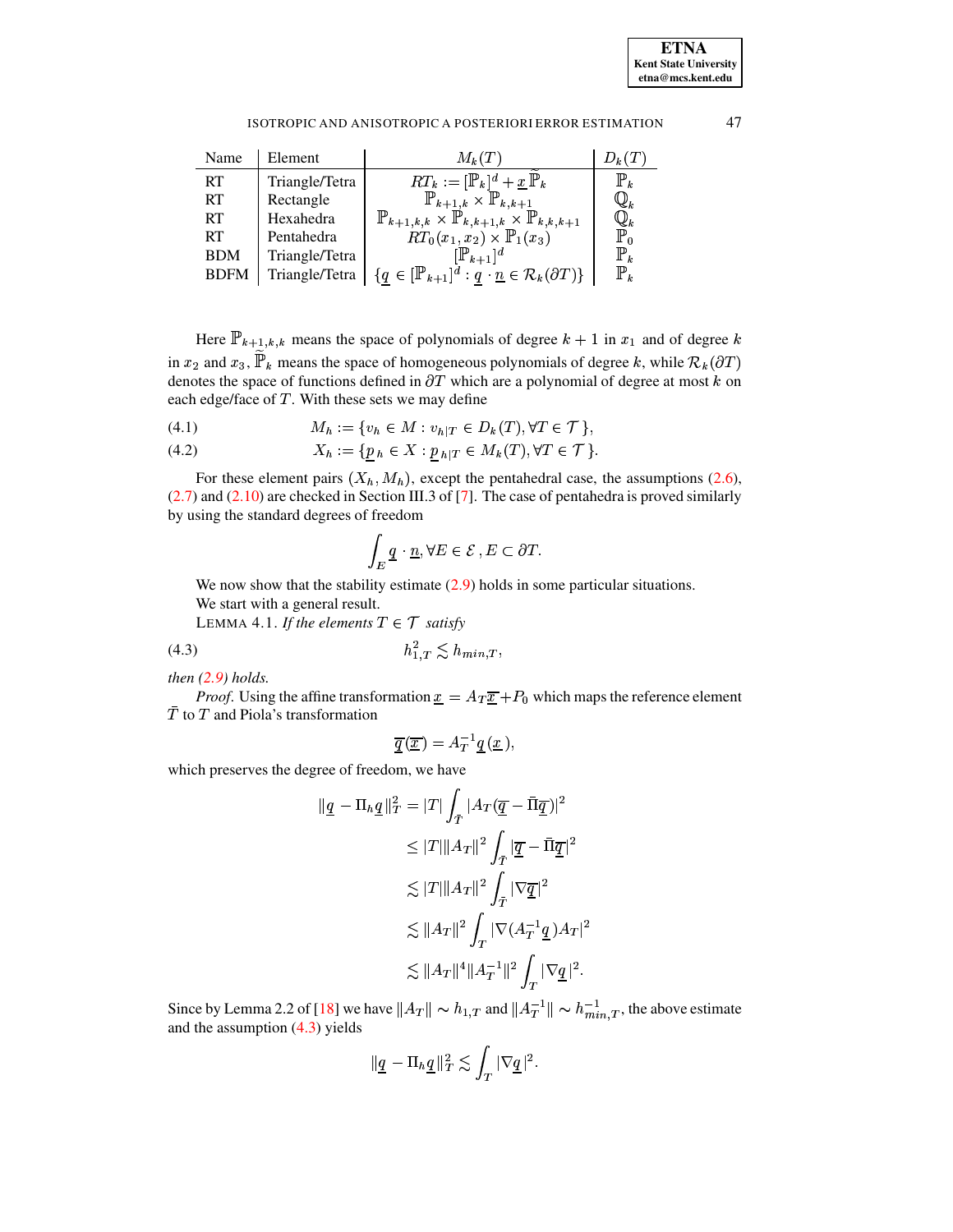

| Name        | Element        | $M_k(T)$                                                                             | $D_k(T)$         |
|-------------|----------------|--------------------------------------------------------------------------------------|------------------|
| <b>RT</b>   | Triangle/Tetra | $RT_k := [\mathbb{P}_k]^d + \underline{x} \mathbb{P}_k$                              | $\mathbb{P}_{k}$ |
| <b>RT</b>   | Rectangle      | $\mathbb{P}_{k+1,k}\times \mathbb{P}_{k,k+1}$                                        | $\mathbb{Q}_k$   |
| <b>RT</b>   | Hexahedra      | $\mathbb{P}_{k+1,k,k} \times \mathbb{P}_{k,k+1,k} \times \mathbb{P}_{k,k,k+1}$       | $\mathbb{Q}_k$   |
| <b>RT</b>   | Pentahedra     | $RT_0(x_1, x_2) \times \mathbb{P}_1(x_3)$                                            | $\mathbb{P}_0$   |
| <b>BDM</b>  | Triangle/Tetra | $[\mathbb{P}_{k+1}]^d$                                                               | $\mathbb{P}_k$   |
| <b>BDFM</b> | Triangle/Tetra | ${q \in [\mathbb{P}_{k+1}]^d : q \cdot \underline{n} \in \mathcal{R}_k(\partial T)}$ | $\mathbb{P}_k$   |

Here  $\mathbb{P}_{k+1,k,k}$  means the space of polynomials of degree  $k+1$  in  $x_1$  and of degree k in  $x_2$  and  $x_3$ ,  $\widetilde{\mathbb{P}}_k$  means the space of homogeneous polynomials of degree k, while  $\mathcal{R}_k(\partial T)$  denotes the space of functions defined in  $\partial T$  which are a polynomial of degree at most k on each edge/face of  $T$ . With these sets we may define

<span id="page-9-1"></span>
$$
(4.1) \t M_h := \{ v_h \in M : v_{h|T} \in D_k(T), \forall T \in \mathcal{T} \},
$$

$$
(4.2) \qquad \qquad X_h := \{ p_h \in X : p_{h|T} \in M_k(T), \forall T \in \mathcal{T} \}
$$

For these element pairs  $(X_h, M_h)$ , except the pentahedral case, the assumptions (2.6),  $(2.7)$  and  $(2.10)$  are checked in Section III.3 of [7]. The case of pentahedra is proved similarly by using the standard degrees of freedom

$$
\int_{E} \underline{q} \cdot \underline{n}, \forall E \in \mathcal{E}, E \subset \partial T
$$

<span id="page-9-2"></span>We now show that the stability estimate  $(2.9)$  holds in some particular situations. We start with a general result.

<span id="page-9-0"></span>LEMMA 4.1. If the elements  $T \in \mathcal{T}$  satisfy

then  $(2.9)$  holds.

*Proof.* Using the affine transformation  $\underline{x} = A_T \overline{\underline{x}} + P_0$  which maps the reference element  $\overline{T}$  to  $T$  and Piola's transformation

$$
\overline{\underline{q}}(\overline{x}) = A_T^{-1} \underline{q}(\underline{x}),
$$

which preserves the degree of freedom, we have

$$
\|\underline{q} - \Pi_h \underline{q}\|_T^2 = |T| \int_{\bar{T}} |A_T(\overline{\underline{q}} - \overline{\Pi} \overline{\underline{q}})|^2
$$
  
\n
$$
\leq |T| \|A_T\|^2 \int_{\bar{T}} |\overline{\underline{q}} - \overline{\Pi} \overline{\underline{q}}|^2
$$
  
\n
$$
\lesssim |T| \|A_T\|^2 \int_{\bar{T}} |\nabla \overline{\underline{q}}|^2
$$
  
\n
$$
\lesssim \|A_T\|^2 \int_T |\nabla (A_T^{-1} \underline{q}) A_T|^2
$$
  
\n
$$
\lesssim \|A_T\|^4 \|A_T^{-1}\|^2 \int_T |\nabla \underline{q}|^2.
$$

Since by Lemma 2.2 of [18] we have  $||A_T|| \sim h_{1,T}$  and  $||A_T^{-1}|| \sim h_{min,T}^{-1}$ , the above estimate and the assumption  $(4.3)$  yields

$$
\|\underline{q}-\Pi_h\underline{q}\|_T^2\lesssim \int_T |\nabla \underline{q}|^2.
$$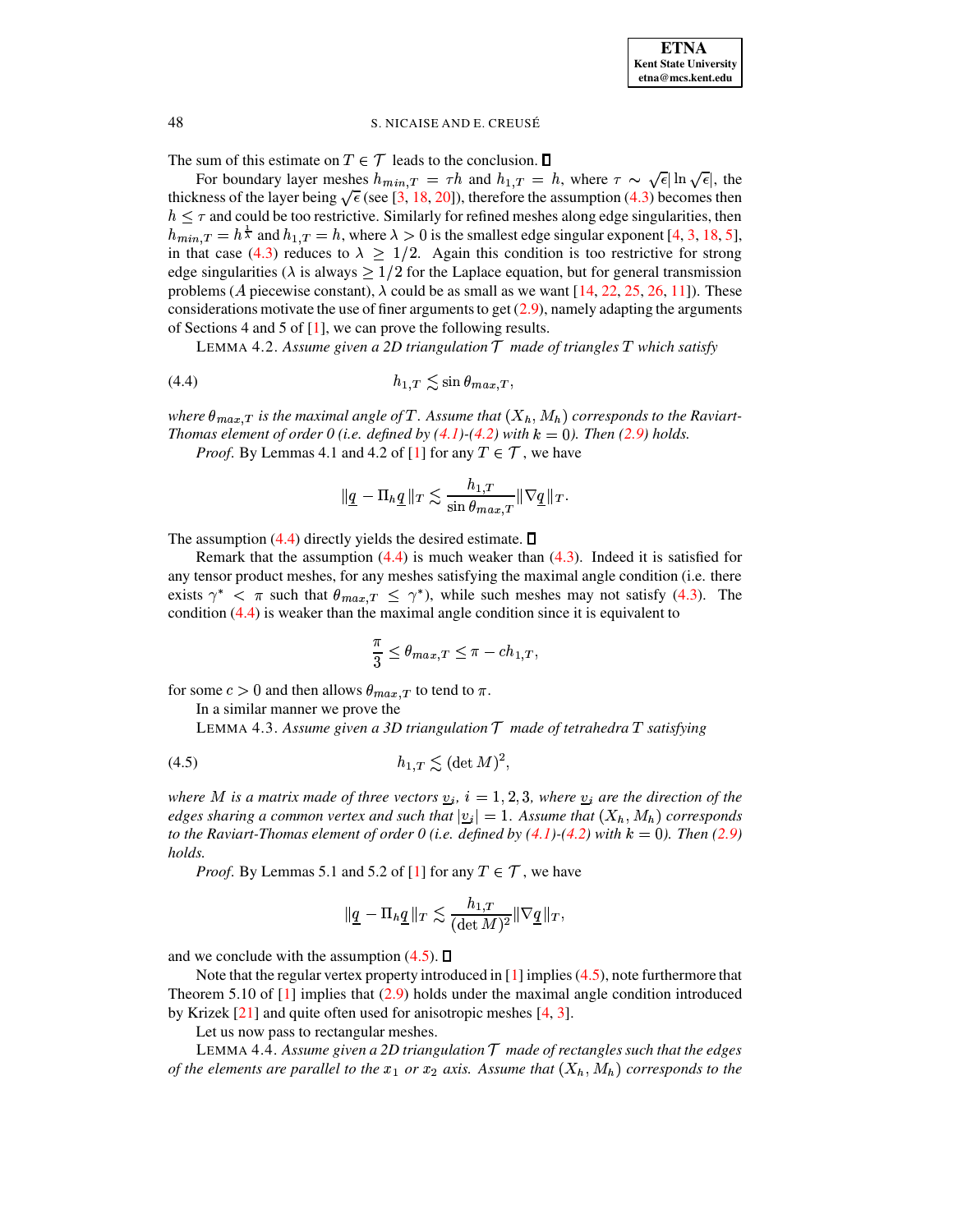

The sum of this estimate on  $T \in \mathcal{T}$  leads to the conclusion.  $\Box$ 

For boundary layer meshes  $h_{min,T} = \tau h$  and  $h_{1,T} = h$ , where  $\tau \sim \sqrt{\epsilon} |\ln \sqrt{\epsilon}|$ , the thickness of the layer being  $\sqrt{\epsilon}$  (see [3, 18, 20]), therefore the assumption (4.3) becomes then  $h \leq \tau$  and could be too restrictive. Similarly for refined meshes along edge singularities, then  $h_{min,T} = h^{\frac{1}{\lambda}}$  and  $h_{1,T} = h$ , where  $\lambda > 0$  is the smallest edge singular exponent [4, 3, 18, 5], in that case (4.3) reduces to  $\lambda \geq 1/2$ . Again this condition is too restrictive for strong edge singularities ( $\lambda$  is always  $\geq 1/2$  for the Laplace equation, but for general transmission problems (A piecewise constant),  $\lambda$  could be as small as we want [14, 22, 25, 26, 11]). These considerations motivate the use of finer arguments to get  $(2.9)$ , namely adapting the arguments of Sections 4 and 5 of [1], we can prove the following results.

<span id="page-10-0"></span>LEMMA 4.2. Assume given a 2D triangulation  $\mathcal T$  made of triangles  $T$  which satisfy

where  $\theta_{max,T}$  is the maximal angle of T. Assume that  $(X_h, M_h)$  corresponds to the Raviart-Thomas element of order 0 (i.e. defined by  $(4.1)$ - $(4.2)$  with  $k = 0$ ). Then  $(2.9)$  holds.

*Proof.* By Lemmas 4.1 and 4.2 of [1] for any  $T \in \mathcal{T}$ , we have

$$
|\underline{q} - \Pi_h \underline{q}| |_{T} \lesssim \frac{h_{1,T}}{\sin \theta_{max,T}} ||\nabla \underline{q}||_{T}.
$$

The assumption  $(4.4)$  directly yields the desired estimate.  $\square$ 

Remark that the assumption  $(4.4)$  is much weaker than  $(4.3)$ . Indeed it is satisfied for any tensor product meshes, for any meshes satisfying the maximal angle condition (i.e. there exists  $\gamma^* < \pi$  such that  $\theta_{max,T} \leq \gamma^*$ , while such meshes may not satisfy (4.3). The condition  $(4.4)$  is weaker than the maximal angle condition since it is equivalent to

$$
\frac{\pi}{3} \le \theta_{max,T} \le \pi - ch_{1,T},
$$

for some  $c > 0$  and then allows  $\theta_{max,T}$  to tend to  $\pi$ .

In a similar manner we prove the

<span id="page-10-1"></span>LEMMA 4.3. Assume given a 3D triangulation  $T$  made of tetrahedra  $T$  satisfying

where M is a matrix made of three vectors  $v_i$ ,  $i = 1, 2, 3$ , where  $v_i$  are the direction of the edges sharing a common vertex and such that  $|v_i| = 1$ . Assume that  $(X_h, M_h)$  corresponds to the Raviart-Thomas element of order 0 (i.e. defined by  $(4.1)-(4.2)$  with  $k = 0$ ). Then (2.9) holds.

*Proof.* By Lemmas 5.1 and 5.2 of [1] for any  $T \in \mathcal{T}$ , we have

$$
\|\underline{q}-\Pi_h\underline{q}\|_T\lesssim \frac{h_{1,T}}{(\det M)^2}\|\nabla \underline{q}\|_T,
$$

and we conclude with the assumption  $(4.5)$ .  $\Box$ 

Note that the regular vertex property introduced in  $[1]$  implies (4.5), note furthermore that Theorem 5.10 of  $[1]$  implies that  $(2.9)$  holds under the maximal angle condition introduced by Krizek  $[21]$  and quite often used for anisotropic meshes  $[4, 3]$ .

Let us now pass to rectangular meshes.

LEMMA 4.4. Assume given a 2D triangulation  $\mathcal T$  made of rectangles such that the edges of the elements are parallel to the  $x_1$  or  $x_2$  axis. Assume that  $(X_h, M_h)$  corresponds to the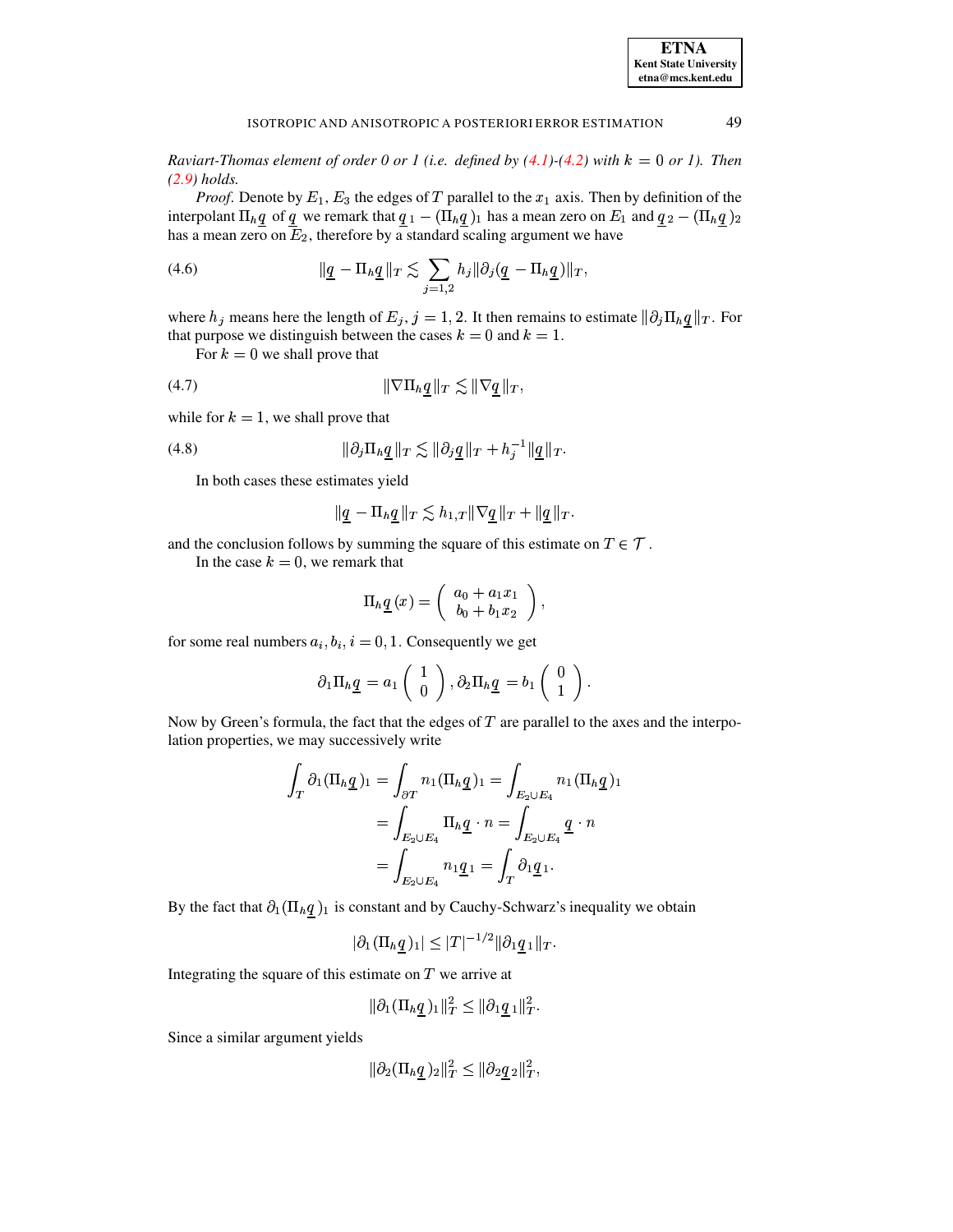49

Raviart-Thomas element of order 0 or 1 (i.e. defined by  $(4.1)$ - $(4.2)$  with  $k = 0$  or 1). Then  $(2.9)$  holds.

*Proof.* Denote by  $E_1$ ,  $E_3$  the edges of T parallel to the  $x_1$  axis. Then by definition of the interpolant  $\Pi_h \underline{q}$  of  $\underline{q}$  we remark that  $\underline{q}_1 - (\Pi_h \underline{q})_1$  has a mean zero on  $E_1$  and  $\underline{q}_2 - (\Pi_h \underline{q})_2$ has a mean zero on  $E_2$ , therefore by a standard scaling argument we have

(4.6) 
$$
\|\underline{q} - \Pi_h \underline{q}\|_T \lesssim \sum_{j=1,2} h_j \|\partial_j (\underline{q} - \Pi_h \underline{q})\|_T,
$$

where  $h_j$  means here the length of  $E_j$ ,  $j = 1, 2$ . It then remains to estimate  $\|\partial_j \Pi_h q\|_T$ . For that purpose we distinguish between the cases  $k = 0$  and  $k = 1$ .

<span id="page-11-0"></span>For  $k = 0$  we shall prove that

$$
(4.7) \t\t\t\t \|\nabla \Pi_h q\|_T \lesssim \|\nabla q\|_T
$$

while for  $k = 1$ , we shall prove that

$$
(4.8) \t\t\t\t\t ||\partial_j \Pi_h \underline{q}||_T \lesssim ||\partial_j \underline{q}||_T + h_j^{-1} ||\underline{q}||_T.
$$

<span id="page-11-1"></span>In both cases these estimates yield

$$
\|\underline{q}-\Pi_h\underline{q}\|_T\lesssim h_{1,T}\|\nabla\underline{q}\|_T+\|\underline{q}\|_T.
$$

and the conclusion follows by summing the square of this estimate on  $T \in \mathcal{T}$ .

In the case  $k = 0$ , we remark that

$$
\Pi_h \underline{q}(x) = \begin{pmatrix} a_0 + a_1 x_1 \\ b_0 + b_1 x_2 \end{pmatrix},
$$

for some real numbers  $a_i, b_i, i = 0, 1$ . Consequently we get

$$
\partial_1 \Pi_h \underline{q} = a_1 \begin{pmatrix} 1 \\ 0 \end{pmatrix}, \partial_2 \Pi_h \underline{q} = b_1 \begin{pmatrix} 0 \\ 1 \end{pmatrix}.
$$

Now by Green's formula, the fact that the edges of  $T$  are parallel to the axes and the interpolation properties, we may successively write

$$
\int_T \partial_1 (\Pi_h \underline{q})_1 = \int_{\partial T} n_1 (\Pi_h \underline{q})_1 = \int_{E_2 \cup E_4} n_1 (\Pi_h \underline{q})_1
$$

$$
= \int_{E_2 \cup E_4} \Pi_h \underline{q} \cdot n = \int_{E_2 \cup E_4} \underline{q} \cdot n
$$

$$
= \int_{E_2 \cup E_4} n_1 \underline{q}_1 = \int_T \partial_1 \underline{q}_1.
$$

By the fact that  $\partial_1(\Pi_h q)_1$  is constant and by Cauchy-Schwarz's inequality we obtain

 $|\partial_1 (\Pi_h q)_1| \leq |T|^{-1/2} ||\partial_1 q_1||_T.$ 

Integrating the square of this estimate on  $T$  we arrive at

$$
\|\partial_1(\Pi_h \underline{q})_1\|_T^2 \le \|\partial_1 \underline{q}_1\|_T^2.
$$

Since a similar argument yields

$$
\|\partial_2(\Pi_h \underline{q})_2\|_T^2 \le \|\partial_2 \underline{q}_2\|_T^2,
$$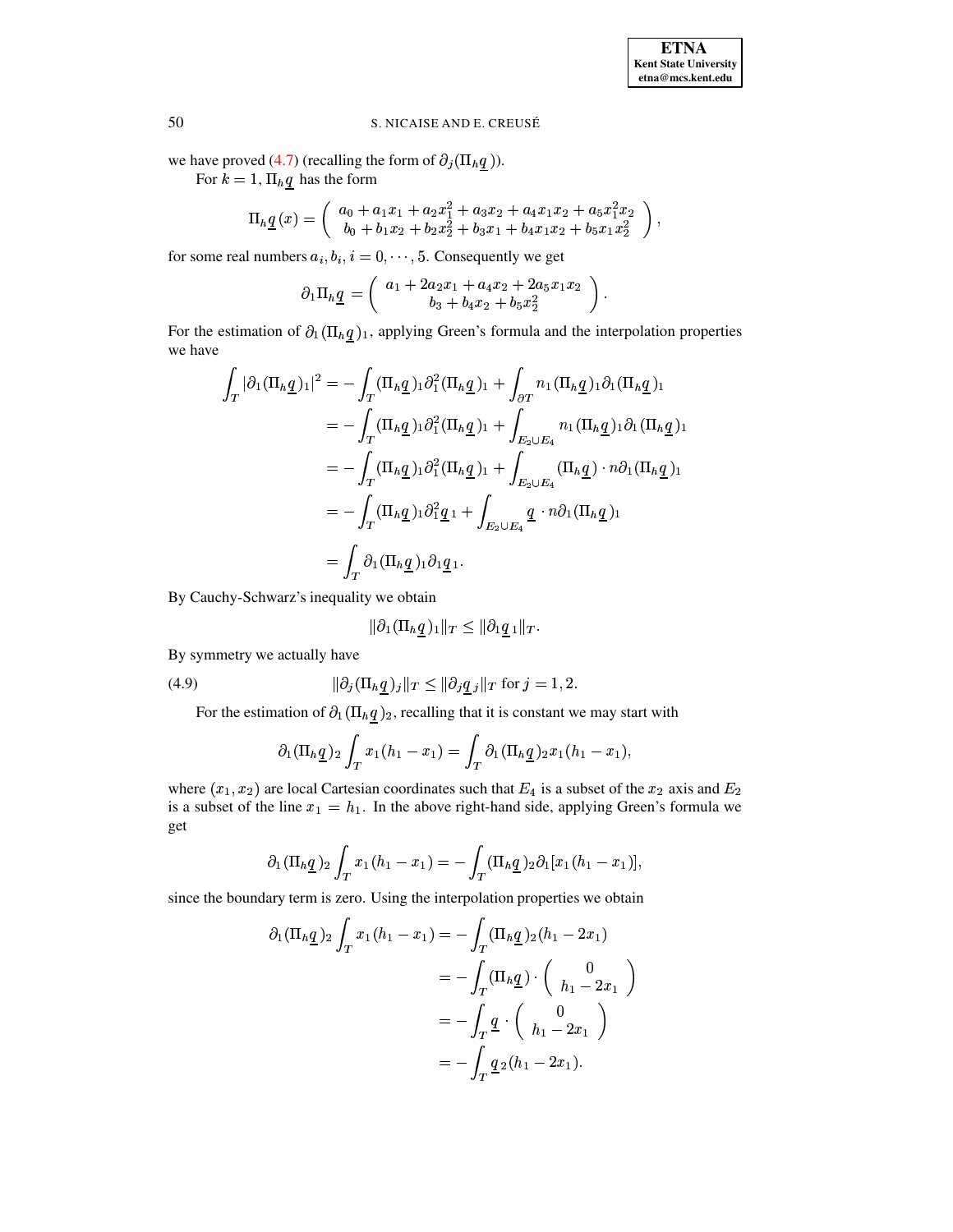we have proved (4.7) (recalling the form of  $\partial_j(\Pi_h \underline{q})$ ).

For  $k = 1$ ,  $\Pi_h q$  has the form

$$
\Pi_h \underline{q}(x) = \begin{pmatrix} a_0 + a_1x_1 + a_2x_1^2 + a_3x_2 + a_4x_1x_2 + a_5x_1^2x_2 \\ b_0 + b_1x_2 + b_2x_2^2 + b_3x_1 + b_4x_1x_2 + b_5x_1x_2^2 \end{pmatrix}
$$

for some real numbers  $a_i, b_i, i = 0, \dots, 5$ . Consequently we get

$$
\partial_1 \Pi_h \underline{q} = \left( \begin{array}{c} a_1 + 2a_2x_1 + a_4x_2 + 2a_5x_1x_2 \\ b_3 + b_4x_2 + b_5x_2^2 \end{array} \right)
$$

For the estimation of  $\partial_1(\Pi_h \underline{q})_1$ , applying Green's formula and the interpolation properties we have

$$
\int_{T} |\partial_1 (\Pi_h \underline{q})_1|^2 = -\int_{T} (\Pi_h \underline{q})_1 \partial_1^2 (\Pi_h \underline{q})_1 + \int_{\partial T} n_1 (\Pi_h \underline{q})_1 \partial_1 (\Pi_h \underline{q})_1
$$
\n
$$
= -\int_{T} (\Pi_h \underline{q})_1 \partial_1^2 (\Pi_h \underline{q})_1 + \int_{E_2 \cup E_4} n_1 (\Pi_h \underline{q})_1 \partial_1 (\Pi_h \underline{q})_1
$$
\n
$$
= -\int_{T} (\Pi_h \underline{q})_1 \partial_1^2 (\Pi_h \underline{q})_1 + \int_{E_2 \cup E_4} (\Pi_h \underline{q}) \cdot n \partial_1 (\Pi_h \underline{q})_1
$$
\n
$$
= -\int_{T} (\Pi_h \underline{q})_1 \partial_1^2 \underline{q}_1 + \int_{E_2 \cup E_4} \underline{q} \cdot n \partial_1 (\Pi_h \underline{q})_1
$$
\n
$$
= \int_{T} \partial_1 (\Pi_h \underline{q})_1 \partial_1 \underline{q}_1.
$$

By Cauchy-Schwarz's inequality we obtain

$$
\|\partial_1(\Pi_h \underline{q})_1\|_T \le \|\partial_1 \underline{q}_1\|_T.
$$

By symmetry we actually have

(4.9) 
$$
\|\partial_j (\Pi_h \underline{q})_j\|_T \leq \|\partial_j \underline{q}_j\|_T \text{ for } j = 1, 2.
$$

<span id="page-12-0"></span>For the estimation of  $\partial_1(\Pi_h \underline{q})_2$ , recalling that it is constant we may start with

$$
\partial_1(\Pi_h \underline{q})_2 \int_T x_1(h_1-x_1) = \int_T \partial_1(\Pi_h \underline{q})_2 x_1(h_1-x_1),
$$

where  $(x_1, x_2)$  are local Cartesian coordinates such that  $E_4$  is a subset of the  $x_2$  axis and  $E_2$ is a subset of the line  $x_1 = h_1$ . In the above right-hand side, applying Green's formula we get

$$
\partial_1(\Pi_h \underline{q})_2 \int_T x_1(h_1 - x_1) = - \int_T (\Pi_h \underline{q})_2 \partial_1 [x_1(h_1 - x_1)],
$$

since the boundary term is zero. Using the interpolation properties we obtain

$$
\partial_1(\Pi_h \underline{q})_2 \int_T x_1(h_1 - x_1) = -\int_T (\Pi_h \underline{q})_2(h_1 - 2x_1)
$$
  
=  $-\int_T (\Pi_h \underline{q}) \cdot \begin{pmatrix} 0 \\ h_1 - 2x_1 \end{pmatrix}$   
=  $-\int_T \underline{q} \cdot \begin{pmatrix} 0 \\ h_1 - 2x_1 \end{pmatrix}$   
=  $-\int_T \underline{q} \cdot (h_1 - 2x_1).$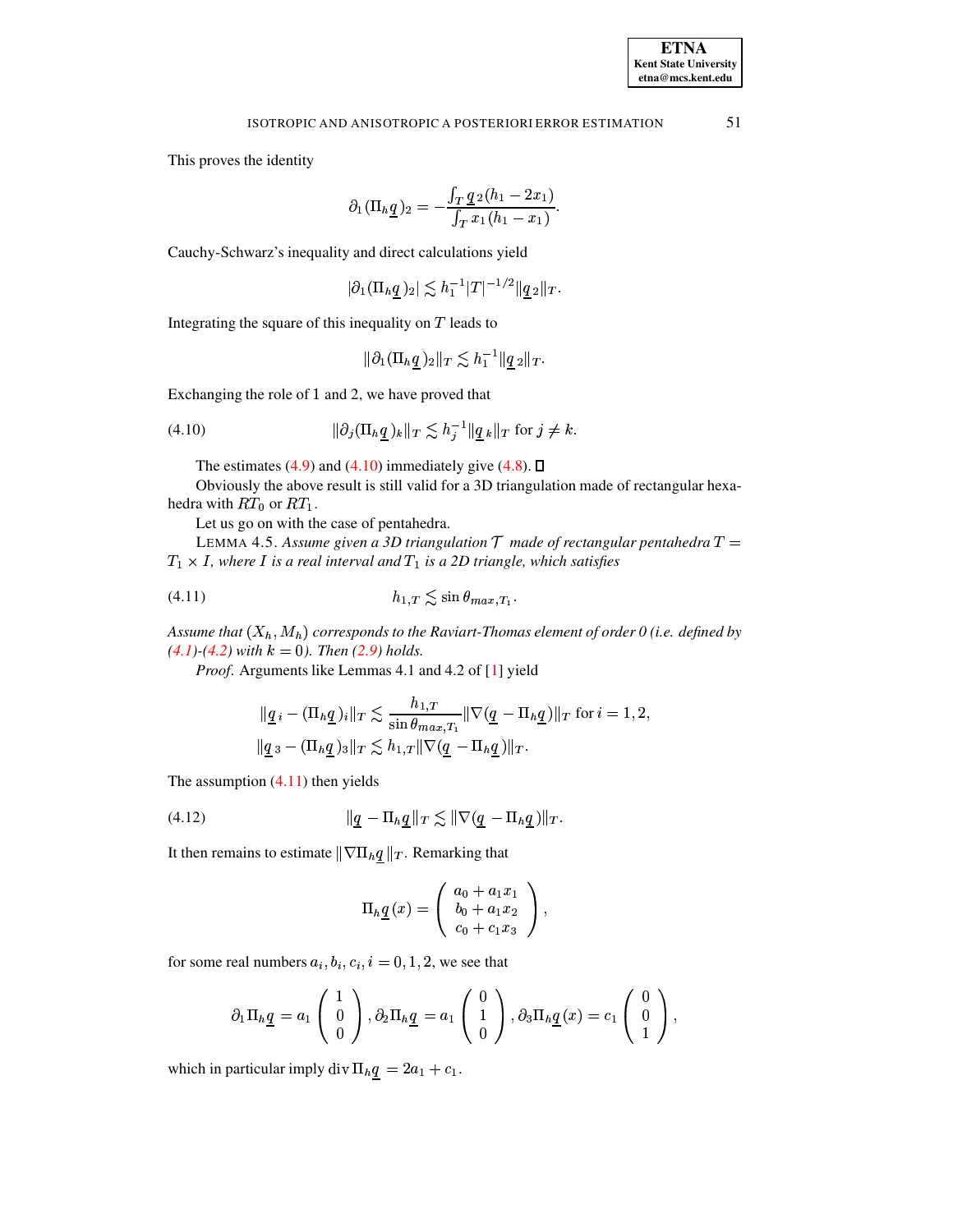This proves the identity

$$
\partial_1 (\Pi_h \underline{q})_2 = -\frac{\int_T \underline{q}_2(h_1 - 2x_1)}{\int_T x_1(h_1 - x_1)}.
$$

Cauchy-Schwarz's inequality and direct calculations yield

$$
|\partial_1 (\Pi_h \underline{q})_2| \lesssim h_1^{-1} |T|^{-1/2} \|\underline{q}_2\|_T.
$$

Integrating the square of this inequality on  $T$  leads to

$$
\|\partial_1(\Pi_h \underline{q})_2\|_T \lesssim h_1^{-1} \|\underline{q}_2\|_T.
$$

Exchanging the role of 1 and 2, we have proved that

$$
(4.10) \t\t\t ||\partial_j(\Pi_h \underline{q})_k||_T \lesssim h_j^{-1} ||\underline{q}_k||_T \text{ for } j \neq k
$$

<span id="page-13-0"></span>The estimates (4.9) and (4.10) immediately give (4.8).  $\Box$ 

Obviously the above result is still valid for a 3D triangulation made of rectangular hexahedra with  $RT_0$  or  $RT_1$ .

Let us go on with the case of pentahedra.

LEMMA 4.5. Assume given a 3D triangulation  $T$  made of rectangular pentahedra  $T =$  $T_1 \times I$ , where I is a real interval and  $T_1$  is a 2D triangle, which satisfies

$$
(4.11)\qquad \qquad h_{1,T} \lesssim \sin \theta_{\max,T_1}
$$

Assume that  $(X_h, M_h)$  corresponds to the Raviart-Thomas element of order 0 (i.e. defined by  $(4.1)-(4.2)$  with  $k = 0$ ). Then  $(2.9)$  holds.

Proof. Arguments like Lemmas 4.1 and 4.2 of [1] yield

<span id="page-13-1"></span>
$$
\|\underline{q} \cdot \left( \Pi_h \underline{q} \right) \cdot \|\underline{r} \lesssim \frac{h_{1,T}}{\sin \theta_{\max,T_1}} \|\nabla (\underline{q} - \Pi_h \underline{q})\|_T \text{ for } i = 1, 2,
$$
  

$$
\|\underline{q} \cdot \left( \Pi_h \underline{q} \right) \cdot \|\underline{r} \lesssim h_{1,T} \|\nabla (\underline{q} - \Pi_h \underline{q})\|_T.
$$

The assumption  $(4.11)$  then yields

<span id="page-13-2"></span>(4.12) 
$$
\|\underline{q} - \Pi_h \underline{q}\|_T \lesssim \|\nabla (\underline{q} - \Pi_h \underline{q})\|_T.
$$

It then remains to estimate  $\|\nabla\Pi_h \underline{q}\|_T$ . Remarking that

$$
\Pi_{h} \underline{q}(x) = \begin{pmatrix} a_0 + a_1 x_1 \\ b_0 + a_1 x_2 \\ c_0 + c_1 x_3 \end{pmatrix},
$$

for some real numbers  $a_i, b_i, c_i, i = 0, 1, 2$ , we see that

$$
\partial_1 \Pi_h \underline{q} = a_1 \begin{pmatrix} 1 \\ 0 \\ 0 \end{pmatrix}, \partial_2 \Pi_h \underline{q} = a_1 \begin{pmatrix} 0 \\ 1 \\ 0 \end{pmatrix}, \partial_3 \Pi_h \underline{q} (x) = c_1 \begin{pmatrix} 0 \\ 0 \\ 1 \end{pmatrix},
$$

which in particular imply div  $\Pi_h \underline{q} = 2a_1 + c_1$ .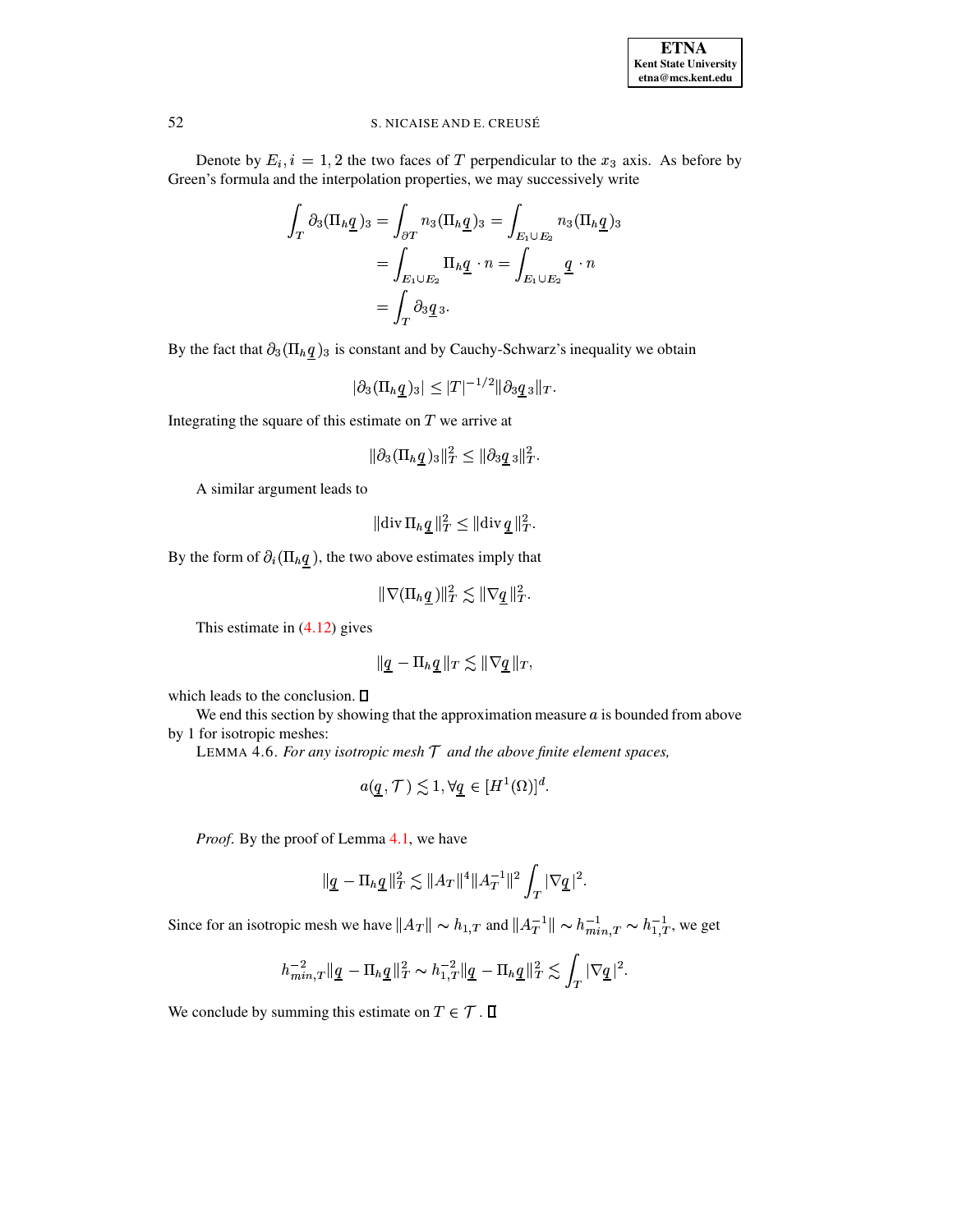

Denote by  $E_i$ ,  $i = 1, 2$  the two faces of T perpendicular to the  $x_3$  axis. As before by

Green's formula and the interpolation properties, we may successively write  
\n
$$
\int_{T} \partial_{3}(\Pi_{h}\underline{q})_{3} = \int_{\partial T} n_{3}(\Pi_{h}\underline{q})_{3} = \int_{E_{1}\cup E_{2}} n_{3}(\Pi_{h}\underline{q})_{3}
$$
\n
$$
= \int_{E_{1}\cup E_{2}} \Pi_{h}\underline{q} \cdot n = \int_{E_{1}\cup E_{2}} \underline{q} \cdot n
$$
\n
$$
= \int_{T} \partial_{3}\underline{q}_{3}.
$$

By the fact that  $\partial_3(\Pi_h \underline{q})_3$  is constant and by Cauchy-Schwarz's inequality we obtain

$$
|\partial_3 (\Pi_h \underline{q})_3| \leq |T|^{-1/2} \|\partial_3 \underline{q}_3\|_T.
$$

Integrating the square of this estimate on  $T$  we arrive at

$$
\|\partial_3 (\Pi_h \underline{q}\,)_3\|_T^2 \leq \|\partial_3 \underline{q}\,{}_3\|_T^2.
$$

A similar argument leads to

$$
\|\text{div }\Pi_h \underline{q}\,\|_T^2 \leq \|\text{div }\underline{q}\,\|_T^2.
$$

By the form of  $\partial_i(\Pi_h q)$ , the two above estimates imply that

$$
\|\nabla(\Pi_h\underline{q}\,)\|_T^2\lesssim \|\nabla\underline{q}\,\|_T^2.
$$

This estimate in [\(4.12\)](#page-13-2) gives

$$
\|\underline{q} - \Pi_h \underline{q}\|_T \lesssim \|\nabla \underline{q}\|_T,
$$

which leads to the conclusion.  $\square$ 

We end this section by showing that the approximation measure  $a$  is bounded from above by 1 for isotropic meshes:

LEMMA 4.6. For any isotropic mesh  $T$  and the above finite element spaces,

$$
a(q, \mathcal{T}) \lesssim 1, \forall q \in [H^1(\Omega)]^d.
$$

*Proof*. By the proof of Lemma [4.1,](#page-9-2) we have

of Lemma 4.1, we have  

$$
\|\underline{q} - \Pi_h \underline{q}\|_T^2 \lesssim \|A_T\|^4 \|A_T^{-1}\|^2 \int_T |\nabla \underline{q}|^2.
$$

Since for an isotropic mesh we have  $||A_T|| \sim h_{1,T}$  and

ppic mesh we have 
$$
||A_T|| \sim h_{1,T}
$$
 and  $||A_T^{-1}|| \sim h_{min,T}^{-1} \sim h_{1,T}^{-1}$ , we get

\n
$$
h_{min,T}^{-2} ||\underline{q} - \Pi_h \underline{q}||_T^2 \sim h_{1,T}^{-2} ||\underline{q} - \Pi_h \underline{q}||_T^2 \lesssim \int_T |\nabla \underline{q}|^2.
$$

We conclude by summing this estimate on  $T \in \mathcal{T}$ .  $\Box$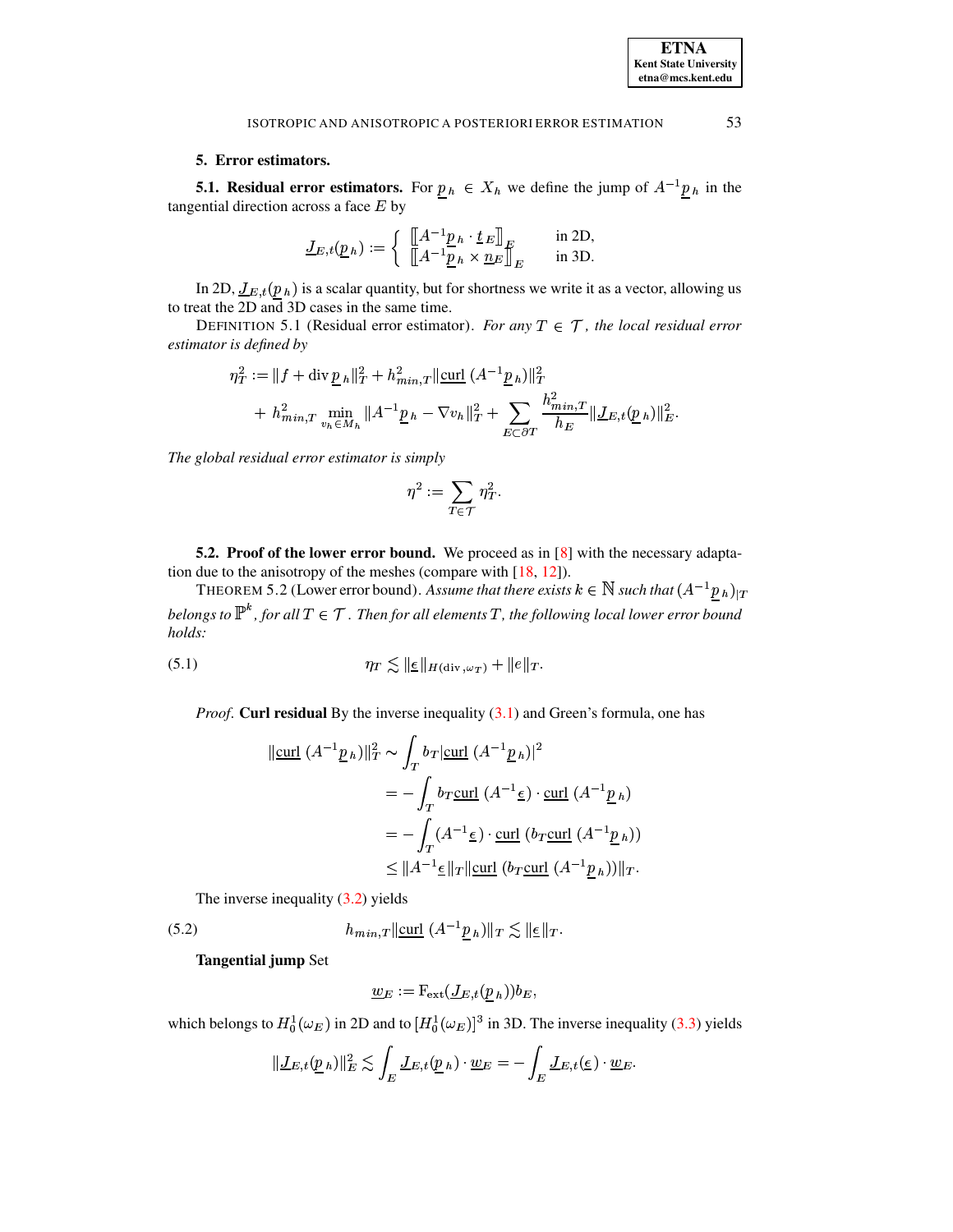# 5. Error estimators.

<span id="page-15-0"></span>**5.1. Residual error estimators.** For  $p_h \in X_h$  we define the jump of  $A^{-1}p_h$  in the tangential direction across a face  $E$  by

$$
\underline{J}_{E,t}(\underline{p}_h) := \begin{cases} \begin{array}{c} \left[ \begin{matrix} A^{-1} \underline{p}_h \cdot \underline{t}_E \end{matrix} \right]_E & \text{in 2D,} \\ \left[ \begin{matrix} \begin{matrix} A^{-1} \underline{p}_h \times \underline{n}_E \end{matrix} \end{matrix} \right]_E & \text{in 3D.} \end{cases}
$$

In 2D,  $\underline{J}_{E,t}(\underline{p}_h)$  is a scalar quantity, but for shortness we write it as a vector, allowing us to treat the 2D and 3D cases in the same time.

DEFINITION 5.1 (Residual error estimator). For any  $T \in \mathcal{T}$ , the local residual error estimator is defined by

$$
\eta_T^2 := \|f + \operatorname{div} \underline{p}_h\|_T^2 + h_{min,T}^2 \|\operatorname{curl} (A^{-1} \underline{p}_h)\|_T^2
$$
  
+  $h_{min,T}^2 \min_{v_h \in M_h} \|A^{-1} \underline{p}_h - \nabla v_h\|_T^2 + \sum_{E \subset \partial T} \frac{h_{min,T}^2}{h_E} \|\underline{J}_{E,t}(\underline{p}_h)\|_E^2.$ 

The global residual error estimator is simply

$$
\eta^2:=\sum_{T\in\mathcal{T}}\,\eta_T^2
$$

**5.2. Proof of the lower error bound.** We proceed as in  $[8]$  with the necessary adaptation due to the anisotropy of the meshes (compare with  $[18, 12]$ ).

<span id="page-15-3"></span>THEOREM 5.2 (Lower error bound). Assume that there exists  $k \in \mathbb{N}$  such that  $(A^{-1}p_h)_{|T}$ belongs to  $\mathbb{P}^k$ , for all  $T \in \mathcal{T}$ . Then for all elements T, the following local lower error bound holds:

(5.1) 
$$
\eta_T \lesssim \|\underline{\epsilon}\|_{H(\mathrm{div}, \omega_T)} + \|e\|_T.
$$

<span id="page-15-2"></span>*Proof.* Curl residual By the inverse inequality  $(3.1)$  and Green's formula, one has

$$
\|\underline{\text{curl}} (A^{-1}\underline{p}_h)\|_T^2 \sim \int_T b_T |\underline{\text{curl}} (A^{-1}\underline{p}_h)|^2
$$
  
=  $-\int_T b_T \underline{\text{curl}} (A^{-1}\underline{\epsilon}) \cdot \underline{\text{curl}} (A^{-1}\underline{p}_h)$   
=  $-\int_T (A^{-1}\underline{\epsilon}) \cdot \underline{\text{curl}} (b_T \underline{\text{curl}} (A^{-1}\underline{p}_h))$   
 $\leq \|A^{-1}\underline{\epsilon}\|_T \|\underline{\text{curl}} (b_T \underline{\text{curl}} (A^{-1}\underline{p}_h))\|_T.$ 

<span id="page-15-1"></span>The inverse inequality  $(3.2)$  yields

(5.2) 
$$
h_{min,T} \|\underline{\text{curl}} \ (A^{-1} \underline{p}_h)\|_T \lesssim \|\underline{\epsilon}\|_T.
$$

**Tangential jump Set** 

$$
\underline{w}_E := \mathrm{F}_{\mathrm{ext}}(\underline{J}_{E,t}(\underline{p}_h)) b_E
$$

which belongs to  $H_0^1(\omega_E)$  in 2D and to  $[H_0^1(\omega_E)]^3$  in 3D. The inverse inequality (3.3) yields

$$
\|\underline{J}_{E,t}(\underline{p}_h)\|_E^2 \lesssim \int_E \underline{J}_{E,t}(\underline{p}_h) \cdot \underline{w}_E = -\int_E \underline{J}_{E,t}(\underline{\epsilon}) \cdot \underline{w}_E.
$$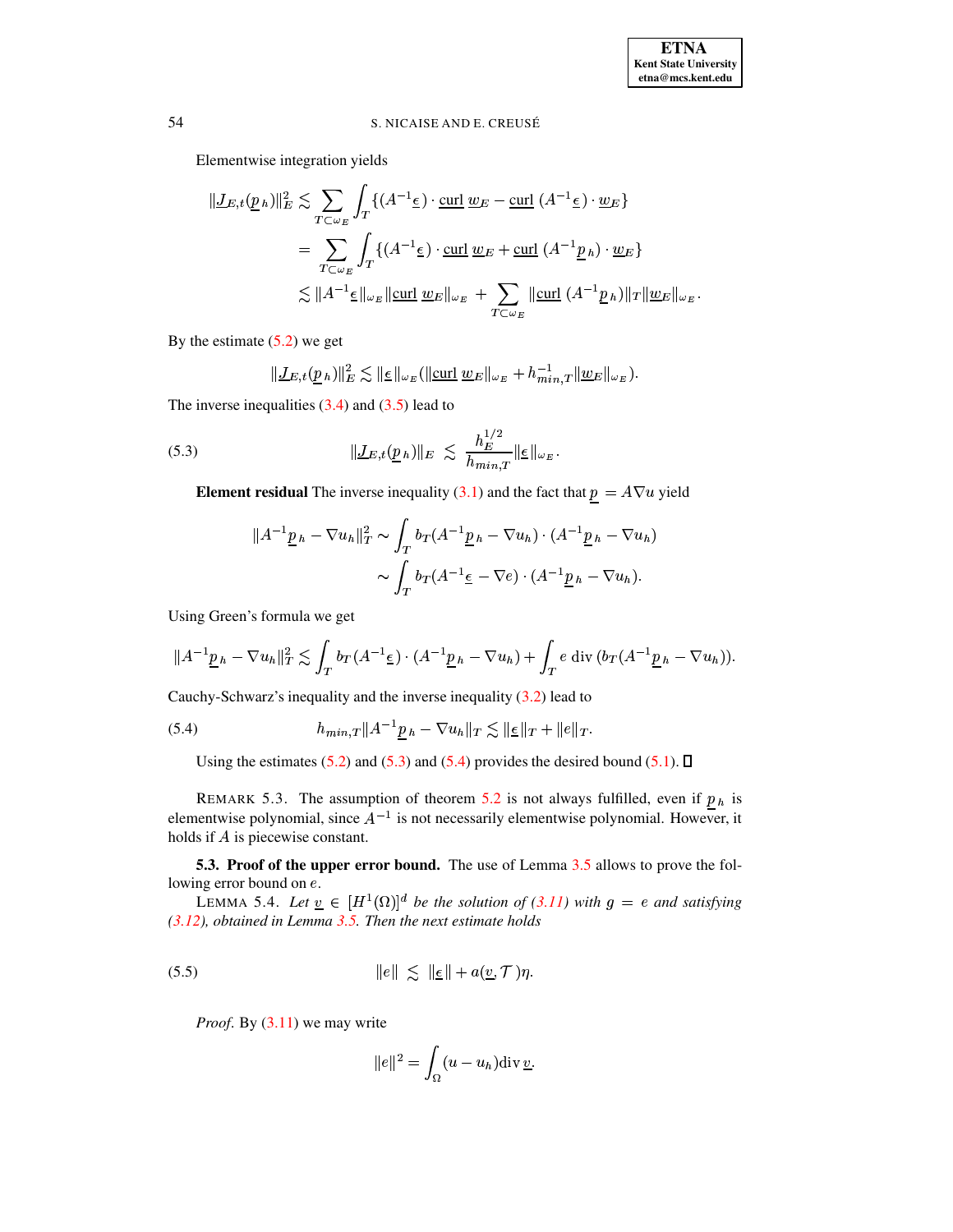Elementwise integration yields

Herinentwise integration yields

\n
$$
\|\underline{J}_{E,t}(\underline{p}_h)\|_E^2 \lesssim \sum_{T \subset \omega_E} \int_T \{(A^{-1}\underline{\epsilon}) \cdot \underline{\mathrm{curl}} \ \underline{w}_E - \underline{\mathrm{curl}} \ (A^{-1}\underline{\epsilon}) \cdot \underline{w}_E\}
$$
\n
$$
= \sum_{T \subset \omega_E} \int_T \{(A^{-1}\underline{\epsilon}) \cdot \underline{\mathrm{curl}} \ \underline{w}_E + \underline{\mathrm{curl}} \ (A^{-1}\underline{p}_h) \cdot \underline{w}_E\}
$$
\n
$$
\lesssim \|A^{-1}\underline{\epsilon}\|_{\omega_E} \|\underline{\mathrm{curl}} \ \underline{w}_E\|_{\omega_E} + \sum_{T \subset \omega_E} \|\underline{\mathrm{curl}} \ (A^{-1}\underline{p}_h)\|_T \|\underline{w}_E\|_{\omega_E}.
$$

By the estimate  $(5.2)$  we get

$$
\| \underline{J}_{E,t}(\underline{p}_h) \|^2_E \lesssim \| \underline{\epsilon} \|_{\omega_E} (\|\underline{\mathrm{curl}} \ \underline{w}_E \|_{\omega_E} + h_{min,T}^{-1} \| \underline{w}_E \|_{\omega_E}).
$$

The inverse inequalities  $(3.4)$  and  $(3.5)$  lead to

(5.3) 
$$
\|\underline{J}_{E,t}(\underline{p}_h)\|_E \lesssim \frac{h_E^{1/2}}{h_{min,T}} \|\underline{\epsilon}\|_{\omega_E}.
$$

<span id="page-16-1"></span>

Element residual The inverse inequality (3.1) and the fact that 
$$
\underline{p} = A \nabla u
$$
 yield  
\n
$$
||A^{-1}\underline{p}_h - \nabla u_h||_T^2 \sim \int_T b_T (A^{-1}\underline{p}_h - \nabla u_h) \cdot (A^{-1}\underline{p}_h - \nabla u_h)
$$
\n
$$
\sim \int_T b_T (A^{-1}\underline{\epsilon} - \nabla e) \cdot (A^{-1}\underline{p}_h - \nabla u_h).
$$

Using Green's formula we get  
\n
$$
||A^{-1}\underline{p}_h - \nabla u_h||_T^2 \lesssim \int_T b_T (A^{-1}\underline{e}) \cdot (A^{-1}\underline{p}_h - \nabla u_h) + \int_T e \operatorname{div} (b_T (A^{-1}\underline{p}_h - \nabla u_h)).
$$

Cauchy-Schwarz's inequality and the inverse inequality  $(3.2)$  lead to

(5.4) 
$$
h_{min,T} \|A^{-1} \underline{p}_h - \nabla u_h\|_T \lesssim \|\underline{\epsilon}\|_T + \|e\|_T.
$$

<span id="page-16-2"></span>Using the estimates  $(5.2)$  and  $(5.3)$  and  $(5.4)$  provides the desired bound  $(5.1)$ .  $\Box$ 

REMARK 5.3. The assumption of theorem [5.2](#page-15-3) is not always fulfilled, even if  $p_h$  is elementwise polynomial, since  $A^{-1}$  is not necessarily elementwise polynomial. However, it holds if  $A$  is piecewise constant.

<span id="page-16-3"></span><span id="page-16-0"></span>**5.3. Proof of the upper error bound.** The use of Lemma [3.5](#page-7-2) allows to prove the following error bound on  $e$ .

LEMMA 5.4. Let  $\underline{v} \in [H^1(\Omega)]^d$  be the solution of [\(3.11\)](#page-7-1) with  $g = e$  and satisfying *[\(3.12\)](#page-7-1), obtained in Lemma [3.5.](#page-7-2) Then the next estimate holds*

$$
||e|| \lesssim ||\underline{\epsilon}|| + a(\underline{v}, \mathcal{T})\eta.
$$

*Proof*. By [\(3.11\)](#page-7-1) we may write

te
$$
\|e\|^2 = \int_{\Omega} (u - u_h) \text{div} \, \underline{v}.
$$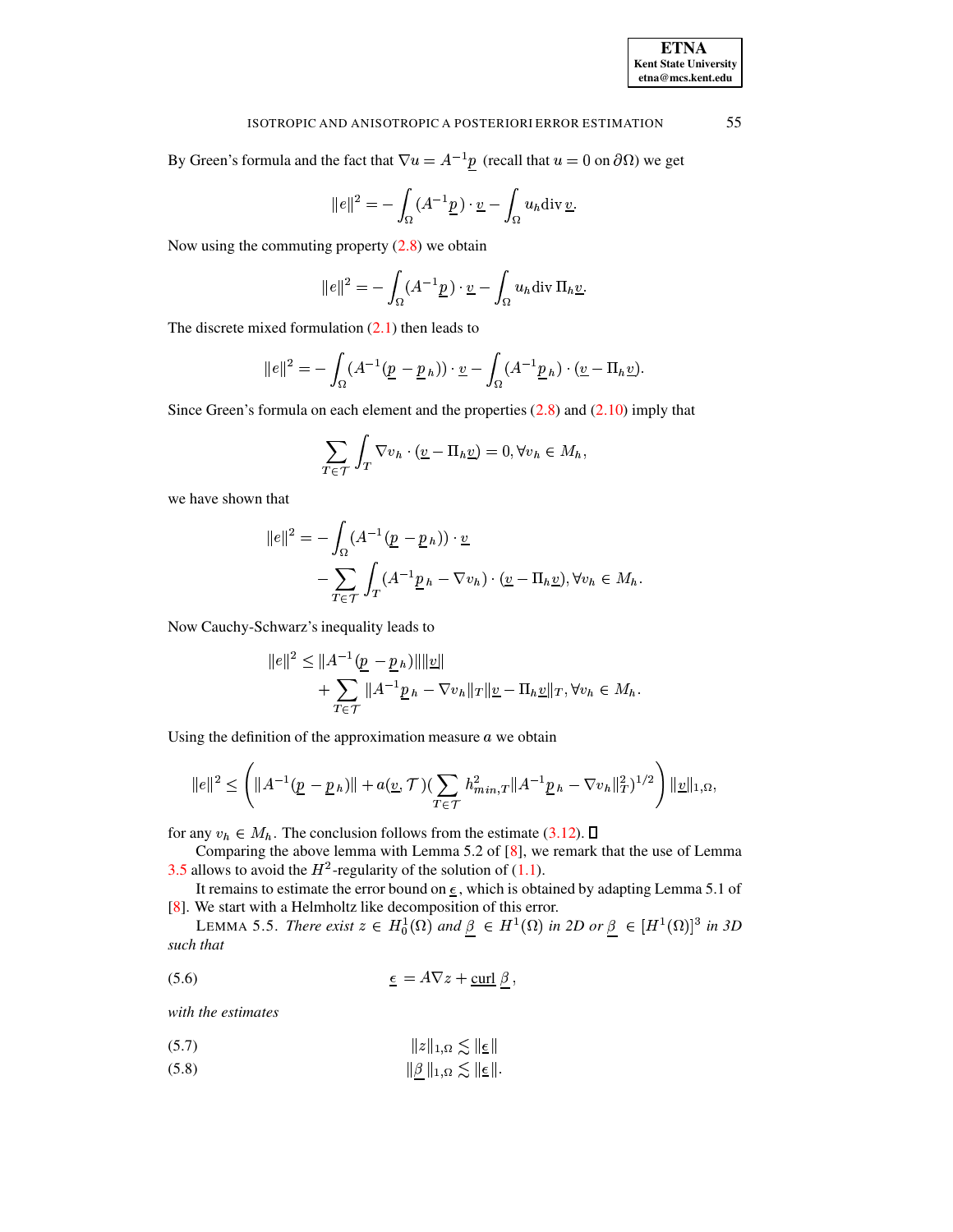55

#### ISOTROPIC AND ANISOTROPIC A POSTERIORI ERROR ESTIMATION

By Green's formula and the fact that  $\nabla u = A^{-1} \underline{p}$  (recall that  $u = 0$  on  $\partial \Omega$ ) we get

$$
||e||^2 = -\int_{\Omega} (A^{-1} \underline{p}) \cdot \underline{v} - \int_{\Omega} u_h \text{div} \, \underline{v}.
$$

Now using the commuting property  $(2.8)$  we obtain

$$
||e||^2 = -\int_{\Omega} (A^{-1}\underline{p}) \cdot \underline{v} - \int_{\Omega} u_h \operatorname{div} \Pi_h \underline{v}.
$$

The discrete mixed formulation  $(2.1)$  then leads to

$$
||e||^2 = -\int_{\Omega} (A^{-1}(\underline{p} - \underline{p}_h)) \cdot \underline{v} - \int_{\Omega} (A^{-1}\underline{p}_h) \cdot (\underline{v} - \Pi_h \underline{v}).
$$

Since Green's formula on each element and the properties  $(2.8)$  and  $(2.10)$  imply that

$$
\sum_{T \in \mathcal{T}} \int_T \nabla v_h \cdot (\underline{v} - \Pi_h \underline{v}) = 0, \forall v_h \in M_h,
$$

we have shown that

$$
||e||^2 = -\int_{\Omega} (A^{-1}(\underline{p} - \underline{p}_h)) \cdot \underline{v}
$$

$$
-\sum_{T \in \mathcal{T}} \int_T (A^{-1}\underline{p}_h - \nabla v_h) \cdot (\underline{v} - \Pi_h \underline{v}), \forall v_h \in M_h.
$$

Now Cauchy-Schwarz's inequality leads to

$$
||e||^{2} \leq ||A^{-1}(\underline{p} - \underline{p}_h)|| ||\underline{v}||
$$
  
+ 
$$
\sum_{T \in \mathcal{T}} ||A^{-1}\underline{p}_h - \nabla v_h||_T ||\underline{v} - \Pi_h \underline{v}||_T, \forall v_h \in M_h.
$$

Using the definition of the approximation measure  $a$  we obtain

$$
||e||^2 \leq \left(||A^{-1}(\underline{p} - \underline{p}_h)|| + a(\underline{v}, \mathcal{T})(\sum_{T \in \mathcal{T}} h_{min,T}^2 ||A^{-1}\underline{p}_h - \nabla v_h||_T^2)^{1/2}\right) ||\underline{v}||_{1,\Omega},
$$

for any  $v_h \in M_h$ . The conclusion follows from the estimate (3.12).  $\square$ 

Comparing the above lemma with Lemma 5.2 of [8], we remark that the use of Lemma 3.5 allows to avoid the  $H^2$ -regularity of the solution of (1.1).

<span id="page-17-2"></span>It remains to estimate the error bound on  $\epsilon$ , which is obtained by adapting Lemma 5.1 of [8]. We start with a Helmholtz like decomposition of this error.

LEMMA 5.5. There exist  $z \in H_0^1(\Omega)$  and  $\beta \in H^1(\Omega)$  in 2D or  $\beta \in [H^1(\Omega)]^3$  in 3D such that

<span id="page-17-1"></span>
$$
\epsilon = A\nabla z + \underline{\text{curl}} \beta
$$

with the estimates

<span id="page-17-0"></span>
$$
\|z\|_{1,\Omega} \lesssim \|\underline{\epsilon}\|
$$

 $(5.8)$  $\|\underline{\beta}\|_{1,\Omega} \lesssim \|\underline{\epsilon}\|.$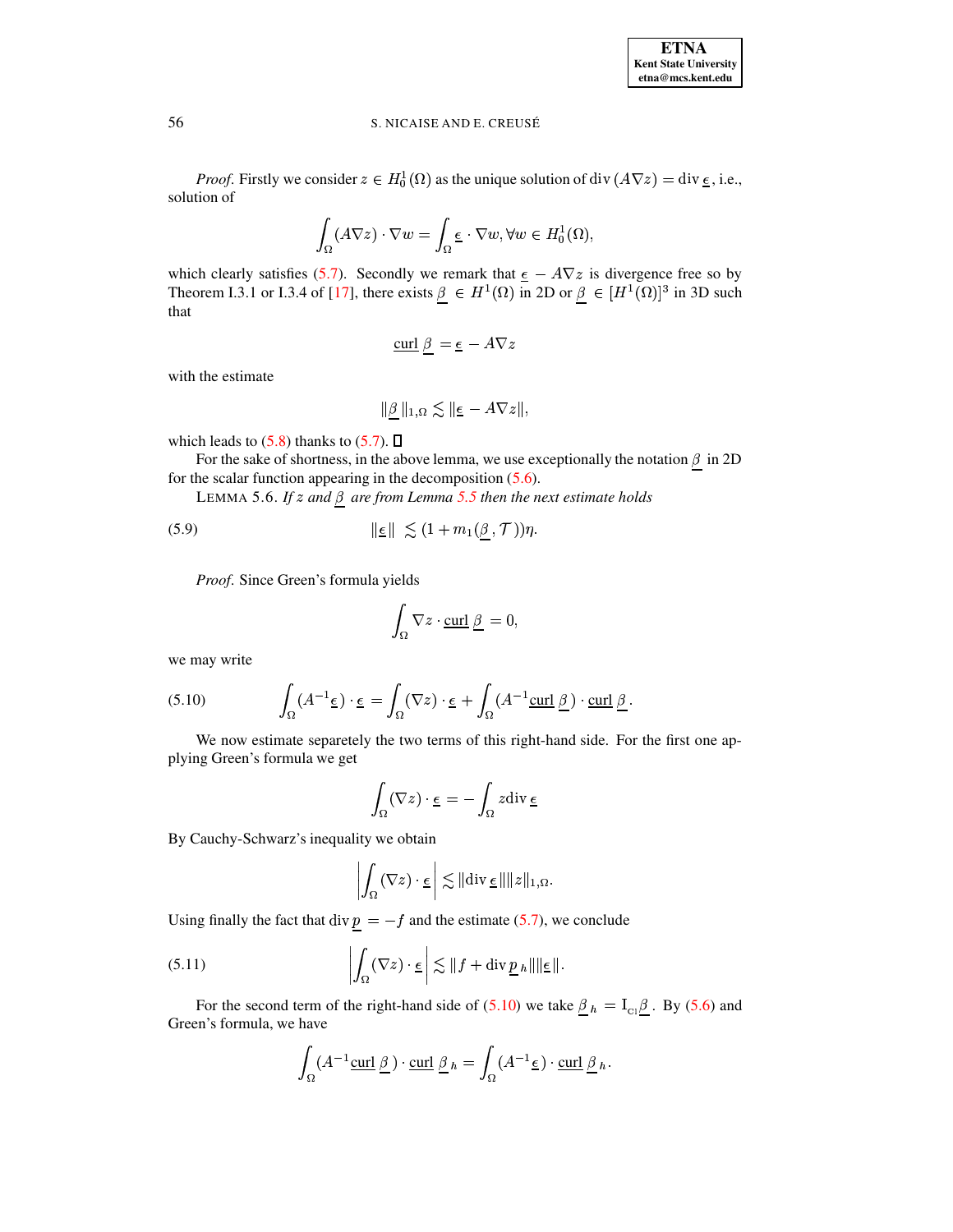*Proof.* Firstly we consider  $z \in H_0^1(\Omega)$  as the unique solution of div  $(A\nabla z) = \text{div } \underline{\epsilon}$ , i.e., solution of

$$
\int_{\Omega} (A\nabla z) \cdot \nabla w = \int_{\Omega} \underline{\epsilon} \cdot \nabla w, \forall w \in H_0^1(\Omega),
$$

which clearly satisfies [\(5.7\)](#page-17-0). Secondly we remark that  $\epsilon - A\nabla z$  is divergence free so by Theorem I.3.1 or I.3.4 of [\[17\]](#page-24-4), there exists  $\beta \in H^1(\Omega)$  in 2D or  $\beta \in [H^1(\Omega)]^3$  in 3D such that

$$
\underline{\mathrm{curl}} \ \beta \ = \underline{\epsilon} \ -A \nabla z
$$

with the estimate

$$
\|\underline{\beta}\,\|_{1,\Omega}\lesssim\|\underline{\epsilon}-A\nabla z\|,
$$

which leads to  $(5.8)$  thanks to  $(5.7)$ .  $\Box$ 

For the sake of shortness, in the above lemma, we use exceptionally the notation  $\beta$  in 2D for the scalar function appearing in the decomposition [\(5.6\)](#page-17-1).

LEMMA 5.6. If z and  $\beta$  are from Lemma [5.5](#page-17-2) then the next estimate holds

$$
\|\underline{\epsilon}\| \lesssim (1 + m_1(\underline{\beta}, \mathcal{T}))\eta.
$$

Proof. Since Green's formula yields

$$
\int_{\Omega} \nabla z \cdot \underline{\text{curl}} \underline{\beta} = 0,
$$

we may write

<span id="page-18-0"></span>we may write  
(5.10) 
$$
\int_{\Omega} (A^{-1} \underline{\epsilon}) \cdot \underline{\epsilon} = \int_{\Omega} (\nabla z) \cdot \underline{\epsilon} + \int_{\Omega} (A^{-1} \underline{\text{curl}} \underline{\beta}) \cdot \underline{\text{curl}} \underline{\beta}.
$$

We now estimate separetely the two terms of this right-hand side. For the first one applying Green's formula we get  $\cdot \epsilon \, = - \int \, z \hbox{div} \, \epsilon \, .$ 

$$
\int_{\Omega} (\nabla z) \cdot \underline{\epsilon} = -\int_{\Omega} z \operatorname{div} \underline{\epsilon}
$$

By Cauchy-Schwarz's inequality we obtain  
\n
$$
\left| \int_{\Omega} (\nabla z) \cdot \underline{\epsilon} \right| \lesssim || \text{div } \underline{\epsilon} || ||z||_{1,\Omega}.
$$

<span id="page-18-1"></span>Using finally the fact that 
$$
\text{div } \underline{p} = -f
$$
 and the estimate (5.7), we conclude  
(5.11) 
$$
\left| \int_{\Omega} (\nabla z) \cdot \underline{\epsilon} \right| \lesssim ||f + \text{div } \underline{p}_h|| ||\underline{\epsilon}||.
$$

For the second term of the right-hand side of [\(5.10\)](#page-18-0) we take  $\beta_h = I_{Cl} \beta$ . By [\(5.6\)](#page-17-1) and Green's formula, we have

have  

$$
\int_{\Omega} (A^{-1} \underline{\text{curl}} \underline{\beta}) \cdot \underline{\text{curl}} \underline{\beta} h = \int_{\Omega} (A^{-1} \underline{\epsilon}) \cdot \underline{\text{curl}} \underline{\beta} h.
$$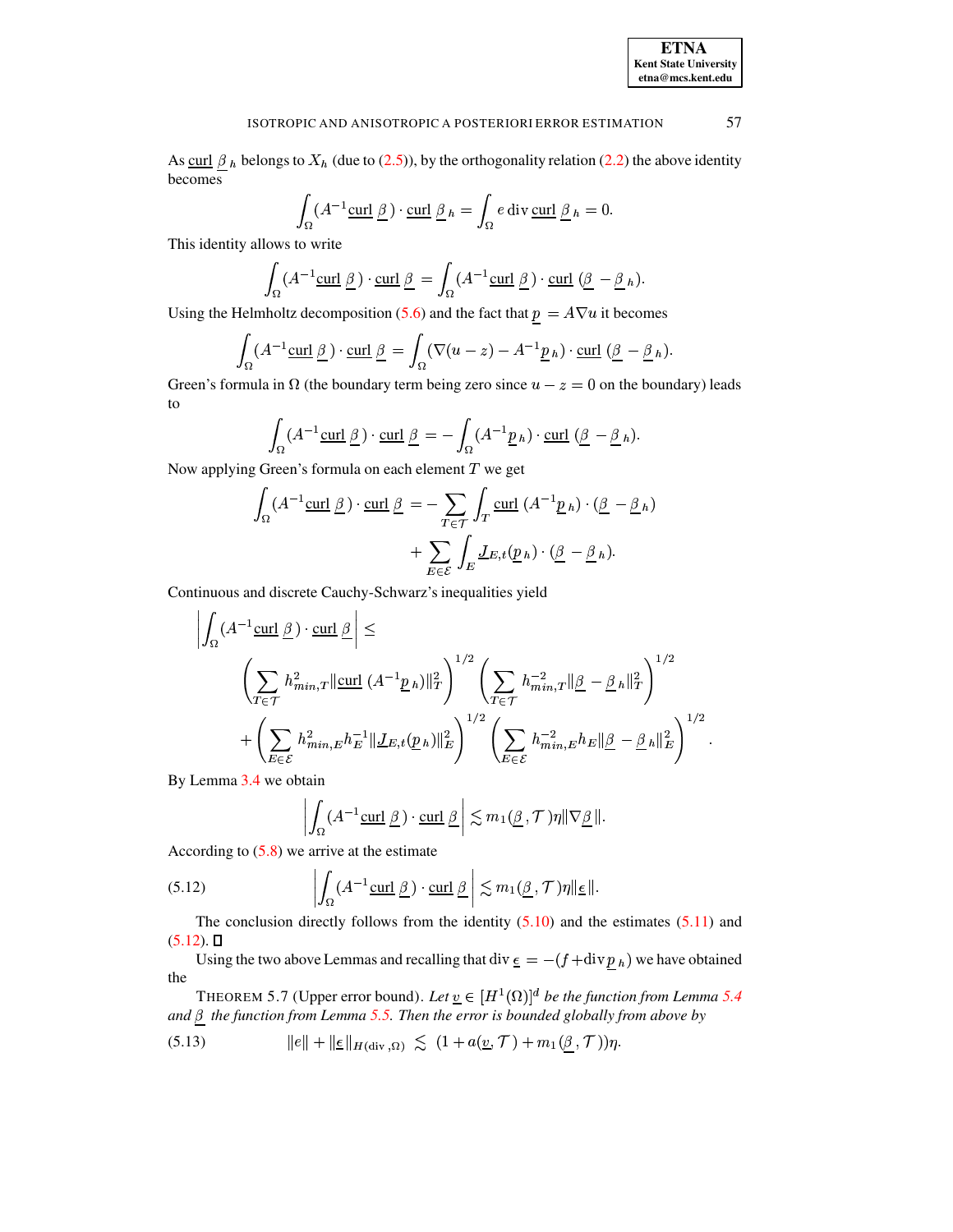As <u>curl  $\beta_h$ </u> belongs to  $X_h$  (due to [\(2.5\)](#page-4-0)), by the orthogonality relation [\(2.2\)](#page-2-2) the above identity<br>becomes<br> $\int (A^{-1}\text{curl }\beta) \cdot \text{curl }\beta_h = \int e \text{ div } \text{curl } \beta_h = 0.$ 

$$
\int_{\Omega} (A^{-1} \underline{\text{curl } \underline{\beta}}) \cdot \underline{\text{curl } \underline{\beta}}_h = \int_{\Omega} e \operatorname{div} \underline{\text{curl } \underline{\beta}}_h = 0.
$$

This identity allows to write

lows to write  

$$
\int_{\Omega} (A^{-1}\underline{\text{curl }\beta}) \cdot \underline{\text{curl }\beta} = \int_{\Omega} (A^{-1}\underline{\text{curl }\beta}) \cdot \underline{\text{curl } (\beta - \beta h)}.
$$

Using the Helmholtz decomposition (5.6) and the fact that 
$$
\underline{p} = A\nabla u
$$
 it becomes  
\n
$$
\int_{\Omega} (A^{-1}\underline{\text{curl}} \underline{\beta}) \cdot \underline{\text{curl}} \underline{\beta} = \int_{\Omega} (\nabla (u - z) - A^{-1}\underline{p}_h) \cdot \underline{\text{curl}} \, (\underline{\beta} - \underline{\beta}_h).
$$

Green's formula in  $\Omega$  (the boundary term being zero since  $u - z = 0$  on the boundary) leads to

$$
\int_{\Omega} (A^{-1} \underline{\text{curl}} \underline{\beta}) \cdot \underline{\text{curl}} \underline{\beta} = - \int_{\Omega} (A^{-1} \underline{p}_h) \cdot \underline{\text{curl}} \, (\underline{\beta} - \underline{\beta}_h).
$$

Now applying Green's formula on each element T we get  
\n
$$
\int_{\Omega} (A^{-1} \underline{\text{curl}} \underline{\beta}) \cdot \underline{\text{curl}} \underline{\beta} = - \sum_{T \in \mathcal{T}} \int_{T} \underline{\text{curl}} (A^{-1} \underline{p}_h) \cdot (\underline{\beta} - \underline{\beta}_h)
$$
\n
$$
+ \sum_{E \in \mathcal{E}} \int_{E} \underline{J}_{E,t} (\underline{p}_h) \cdot (\underline{\beta} - \underline{\beta}_h).
$$

Continuous and discrete Cauchy-Schwarz's inequalities yield  
\n
$$
\left| \int_{\Omega} (A^{-1} \underline{\text{curl}} \underline{\beta}) \cdot \underline{\text{curl}} \underline{\beta} \right| \le
$$
\n
$$
\left( \sum_{T \in \mathcal{T}} h_{min,T}^2 ||\underline{\text{curl}} (A^{-1} \underline{p}_h) ||_T^2 \right)^{1/2} \left( \sum_{T \in \mathcal{T}} h_{min,T}^{-2} ||\underline{\beta} - \underline{\beta}_h ||_T^2 \right)^{1/2}
$$
\n
$$
+ \left( \sum_{E \in \mathcal{E}} h_{min,E}^2 h_E^{-1} ||\underline{J}_{E,t}(\underline{p}_h) ||_E^2 \right)^{1/2} \left( \sum_{E \in \mathcal{E}} h_{min,E}^{-2} h_E ||\underline{\beta} - \underline{\beta}_h ||_E^2 \right)^{1/2}.
$$

By Lemma [3.4](#page-7-3) we obtain

otain

\n
$$
\left| \int_{\Omega} (A^{-1} \underline{\text{curl}} \underline{\beta}) \cdot \underline{\text{curl}} \underline{\beta} \right| \lesssim m_1(\underline{\beta}, \mathcal{T}) \eta \| \nabla \underline{\beta} \|.
$$

<span id="page-19-0"></span>

According to (5.8) we arrive at the estimate  
(5.12) 
$$
\left| \int_{\Omega} (A^{-1} \underline{\text{curl } \beta}) \cdot \underline{\text{curl } \beta} \right| \lesssim m_1(\underline{\beta}, \mathcal{T}) \eta ||\underline{\epsilon}||.
$$

The conclusion directly follows from the identity  $(5.10)$  and the estimates  $(5.11)$  and  $(5.12)$ .  $\square$ 

Using the two above Lemmas and recalling that div  $\frac{\epsilon}{\epsilon} = -(f + \text{div} \, \underline{p}_h)$  we have obtained the

<span id="page-19-2"></span>THEOREM 5.7 (Upper error bound). Let  $\underline{v} \in [H^1(\Omega)]^d$  be the function from Lemma [5.4](#page-16-3) and  $\beta$  the function from Lemma [5.5.](#page-17-2) Then the error is bounded globally from above by

<span id="page-19-1"></span>(5.13) 
$$
\|e\| + \|\underline{\epsilon}\|_{H(\text{div},\Omega)} \lesssim (1 + a(\underline{v},\mathcal{T}) + m_1(\beta,\mathcal{T}))\eta.
$$

**ETNA Kent State University etna@mcs.kent.edu**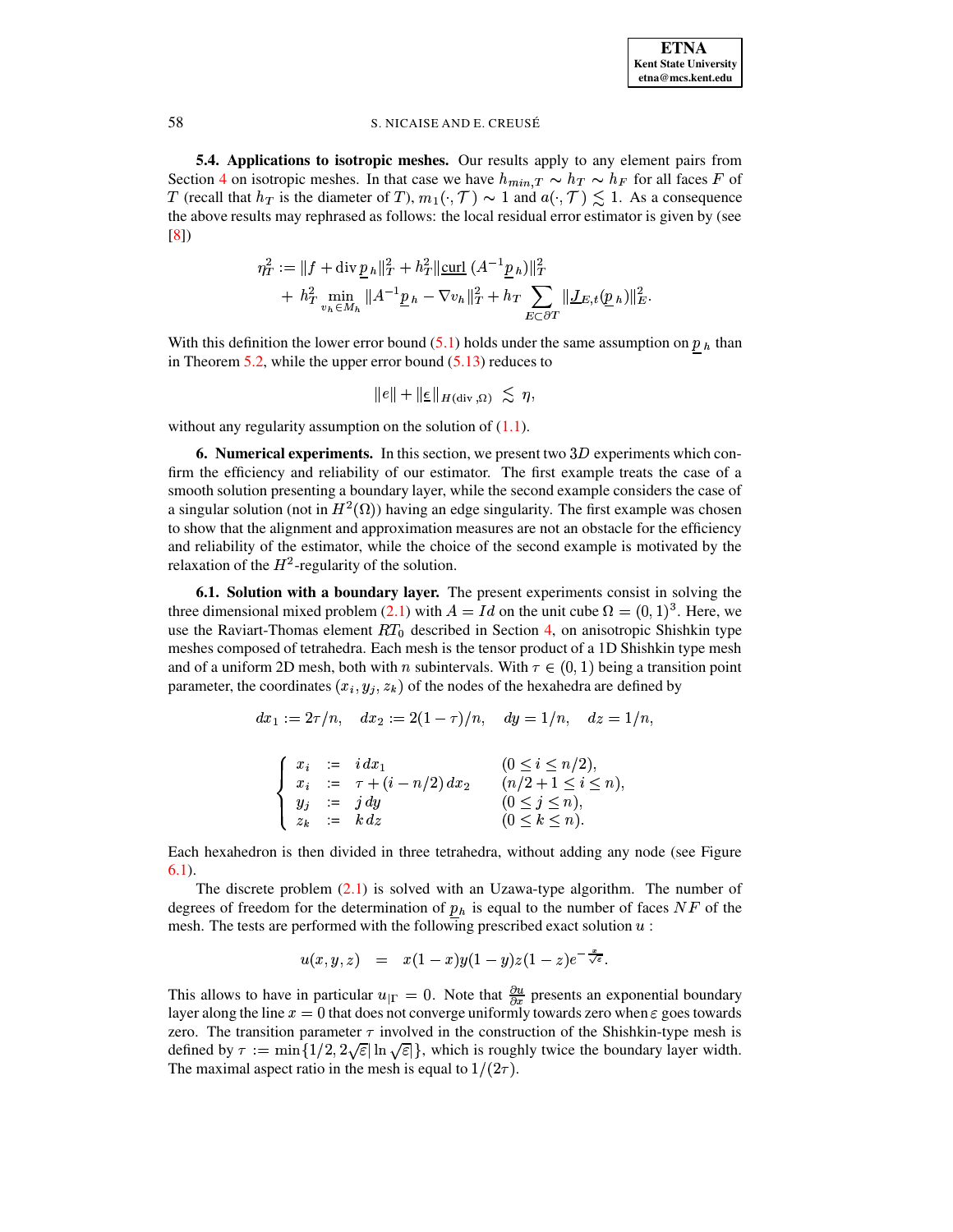5.4. Applications to isotropic meshes. Our results apply to any element pairs from Section 4 on isotropic meshes. In that case we have  $h_{min,T} \sim h_T \sim h_F$  for all faces F of T (recall that  $h_T$  is the diameter of T),  $m_1(\cdot, \mathcal{T}) \sim 1$  and  $a(\cdot, \mathcal{T}) \lesssim 1$ . As a consequence the above results may rephrased as follows: the local residual error estimator is given by (see  $[8]$ 

$$
\eta_T^2 := \|f + \operatorname{div} \underline{p}_h\|_T^2 + h_T^2 \|\underline{\operatorname{curl}} \ (A^{-1} \underline{p}_h)\|_T^2 + h_T^2 \min_{v_h \in M_h} \|A^{-1} \underline{p}_h - \nabla v_h\|_T^2 + h_T \sum_{E \subset \partial T} \|\underline{J}_{E,t}(\underline{p}_h)\|_E^2.
$$

With this definition the lower error bound (5.1) holds under the same assumption on  $p<sub>h</sub>$  than in Theorem 5.2, while the upper error bound  $(5.13)$  reduces to

$$
||e|| + ||\underline{\epsilon}||_{H(\mathrm{div},\Omega)} \leq \eta,
$$

<span id="page-20-0"></span>without any regularity assumption on the solution of  $(1.1)$ .

**6. Numerical experiments.** In this section, we present two  $3D$  experiments which confirm the efficiency and reliability of our estimator. The first example treats the case of a smooth solution presenting a boundary layer, while the second example considers the case of a singular solution (not in  $H^2(\Omega)$ ) having an edge singularity. The first example was chosen to show that the alignment and approximation measures are not an obstacle for the efficiency and reliability of the estimator, while the choice of the second example is motivated by the relaxation of the  $H^2$ -regularity of the solution.

<span id="page-20-1"></span>6.1. Solution with a boundary layer. The present experiments consist in solving the three dimensional mixed problem (2.1) with  $A = Id$  on the unit cube  $\Omega = (0, 1)^3$ . Here, we use the Raviart-Thomas element  $RT_0$  described in Section 4, on anisotropic Shishkin type meshes composed of tetrahedra. Each mesh is the tensor product of a 1D Shishkin type mesh and of a uniform 2D mesh, both with n subintervals. With  $\tau \in (0, 1)$  being a transition point parameter, the coordinates  $(x_i, y_j, z_k)$  of the nodes of the hexahedra are defined by

 $dx_1 := 2\tau/n$ ,  $dx_2 := 2(1-\tau)/n$ ,  $dy = 1/n$ ,  $dz = 1/n$ ,

|  | $\int x_i := i dx_1$           | $(0 \le i \le n/2),$       |
|--|--------------------------------|----------------------------|
|  | $x_i := \tau + (i - n/2) dx_2$ | $(n/2 + 1 \leq i \leq n),$ |
|  | $y_i := j dy$                  | $(0 \leq j \leq n),$       |
|  | $z_k$ := $k dz$                | $(0 \leq k \leq n).$       |

Each hexahedron is then divided in three tetrahedra, without adding any node (see Figure  $6.1$ ).

The discrete problem  $(2.1)$  is solved with an Uzawa-type algorithm. The number of degrees of freedom for the determination of  $p_h$  is equal to the number of faces NF of the mesh. The tests are performed with the following prescribed exact solution  $u$ :

$$
u(x,y,z) \quad = \quad x(1-x)y(1-y)z(1-z)e^{-\frac{\tau}{\sqrt{\varepsilon}}}.
$$

This allows to have in particular  $u_{\vert \Gamma} = 0$ . Note that  $\frac{\partial u}{\partial x}$  presents an exponential boundary layer along the line  $x = 0$  that does not converge uniformly towards zero when  $\varepsilon$  goes towards zero. The transition parameter  $\tau$  involved in the construction of the Shishkin-type mesh is defined by  $\tau := \min\{1/2, 2\sqrt{\varepsilon} | \ln \sqrt{\varepsilon} \}$ , which is roughly twice the boundary layer width. The maximal aspect ratio in the mesh is equal to  $1/(2\tau)$ .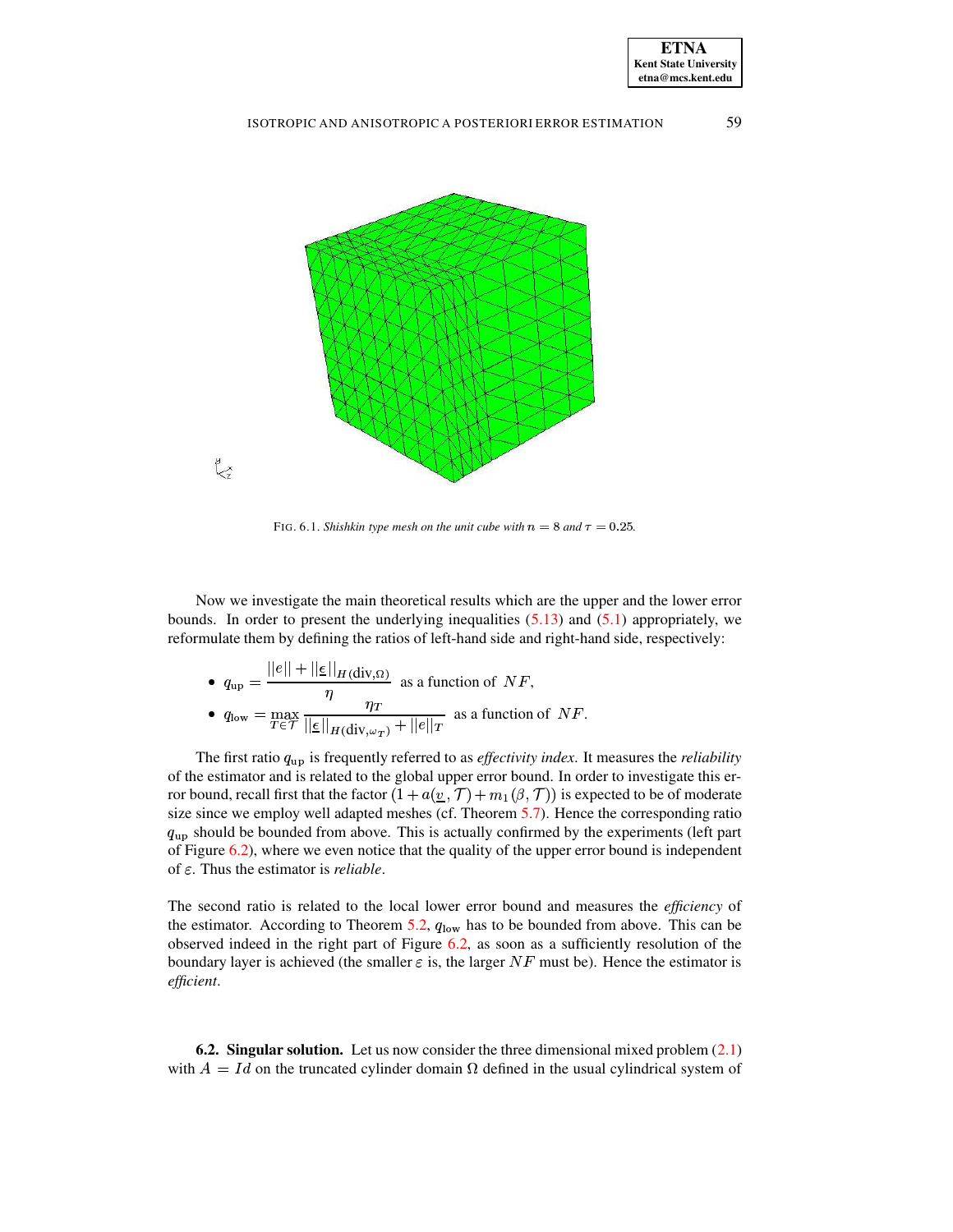



<span id="page-21-0"></span>FIG. 6.1. *Shishkin type mesh on the unit cube with*  $n = 8$  *and*  $\tau = 0.25$ .

Now we investigate the main theoretical results which are the upper and the lower error bounds. In order to present the underlying inequalities  $(5.13)$  and  $(5.1)$  appropriately, we reformulate them by defining the ratios of left-hand side and right-hand side, respectively:

\n- \n
$$
q_{\text{up}} = \frac{\|e\| + \|\underline{\epsilon}\|_{H(\text{div},\Omega)}}{\eta}
$$
\n
\n- \n
$$
q_{\text{low}} = \max_{T \in \mathcal{T}} \frac{\eta_T}{\|\underline{\epsilon}\|_{H(\text{div},\omega_T)} + \|\underline{e}\|_T}
$$
\n
\n- \n
$$
M
$$
\n
\n- \n
$$
q_{\text{low}} = \max_{T \in \mathcal{T}} \frac{\eta_T}{\|\underline{\epsilon}\|_{H(\text{div},\omega_T)} + \|\underline{e}\|_T}
$$
\n
\n

The first ratio  $q_{\text{up}}$  is frequently referred to as *effectivity index*. It measures the *reliability* of the estimator and is related to the global upper error bound. In order to investigate this error bound, recall first that the factor  $(1 + a(\underline{v}, \mathcal{T}) + m_1(\beta, \mathcal{T}))$  is expected to be of moderate size since we employ well adapted meshes (cf. Theorem [5.7\)](#page-19-2). Hence the corresponding ratio  $q<sub>up</sub>$  should be bounded from above. This is actually confirmed by the experiments (left part of Figure [6.2\)](#page-22-5), where we even notice that the quality of the upper error bound is independent of  $\varepsilon$ . Thus the estimator is *reliable*.

The second ratio is related to the local lower error bound and measures the *efficiency* of the estimator. According to Theorem [5.2,](#page-15-3)  $q_{\text{low}}$  has to be bounded from above. This can be observed indeed in the right part of Figure [6.2,](#page-22-5) as soon as a sufficiently resolution of the boundary layer is achieved (the smaller  $\varepsilon$  is, the larger NF must be). Hence the estimator is *efficient*.

**6.2. Singular solution.** Let us now consider the three dimensional mixed problem [\(2.1\)](#page-2-1) with  $A = Id$  on the truncated cylinder domain  $\Omega$  defined in the usual cylindrical system of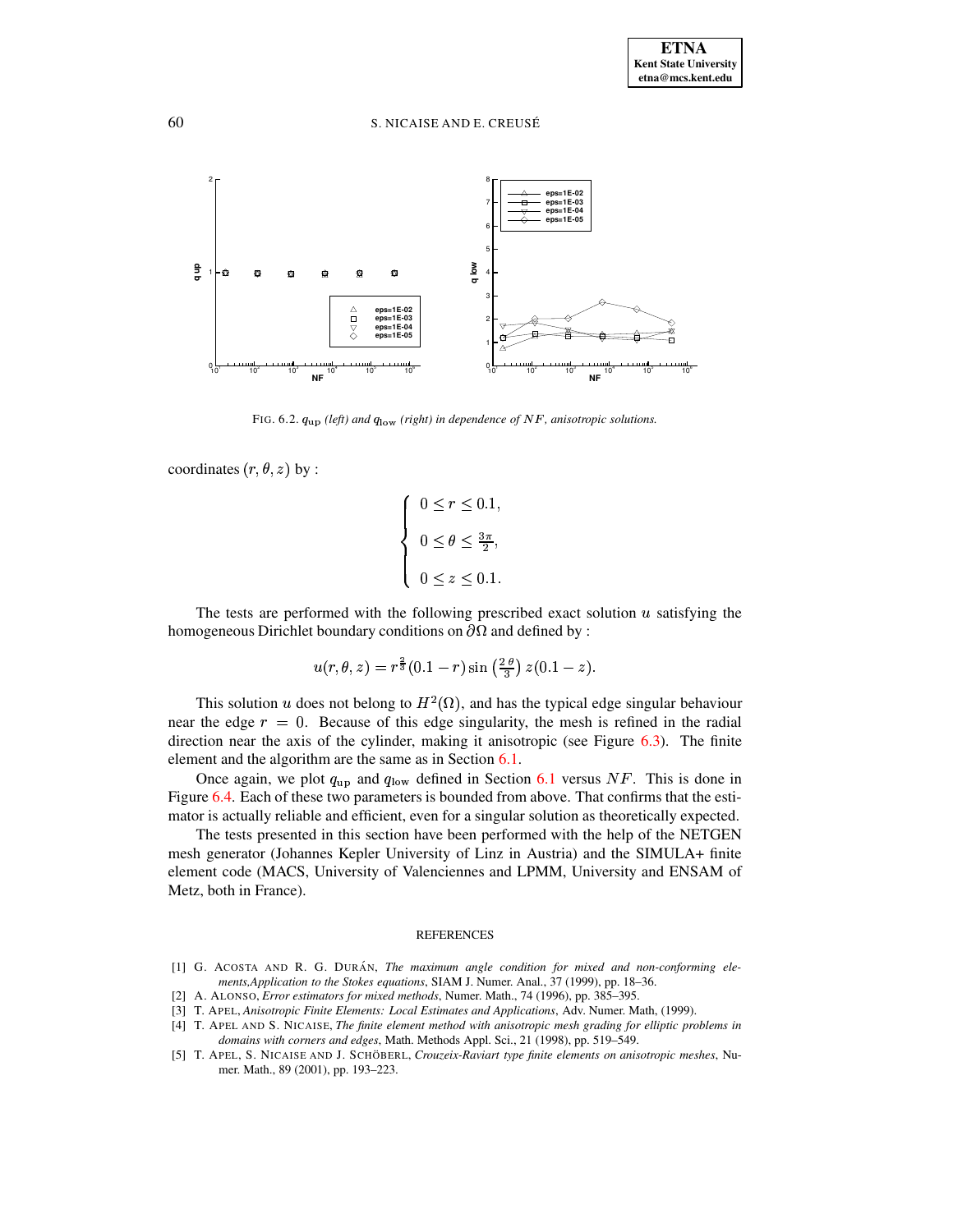

FIG. 6.2.  $q_{\text{up}}$  (left) and  $q_{\text{low}}$  (right) in dependence of NF, anisotropic solutions.

<span id="page-22-5"></span>coordinates  $(r, \theta, z)$  by :

$$
\begin{cases} 0 \le r \le 0.1, \\ 0 \le \theta \le \frac{3\pi}{2}, \\ 0 \le z \le 0.1. \end{cases}
$$

The tests are performed with the following prescribed exact solution  $u$  satisfying the homogeneous Dirichlet boundary conditions on  $\partial\Omega$  and defined by :<br>  $u(r, \theta, z) = r^{\frac{2}{3}}(0.1 - r) \sin\left(\frac{2\theta}{\theta}\right) z(0.1 - z)$ 

$$
u(r,\theta,z) = r^{\frac{2}{3}}(0.1-r)\sin\left(\frac{2\,\theta}{3}\right)z(0.1-z).
$$

This solution  $u$  does not belong to  $H^2(\Omega)$ , and has the typical edge singular behaviour near the edge  $r = 0$ . Because of this edge singularity, the mesh is refined in the radial direction near the axis of the cylinder, making it anisotropic (see Figure [6.3\)](#page-23-8). The finite element and the algorithm are the same as in Section [6.1.](#page-20-1)

Once again, we plot  $q_{\text{up}}$  and  $q_{\text{low}}$  defined in Section [6.1](#page-20-1) versus NF. This is done in Figure [6.4.](#page-23-9) Each of these two parameters is bounded from above. That confirms that the estimator is actually reliable and efficient, even for a singular solution as theoretically expected.

The tests presented in this section have been performed with the help of the NETGEN mesh generator (Johannes Kepler University of Linz in Austria) and the SIMULA+ finite element code (MACS, University of Valenciennes and LPMM, University and ENSAM of Metz, both in France).

#### REFERENCES

- <span id="page-22-4"></span>[1] G. ACOSTA AND R. G. DURÁN, *The maximum angle condition for mixed and non-conforming elements,Application to the Stokes equations*, SIAM J. Numer. Anal., 37 (1999), pp. 18–36.
- <span id="page-22-1"></span><span id="page-22-0"></span>[2] A. ALONSO, *Error estimators for mixed methods*, Numer. Math., 74 (1996), pp. 385–395.
- [3] T. APEL, *Anisotropic Finite Elements: Local Estimates and Applications*, Adv. Numer. Math, (1999).
- <span id="page-22-3"></span><span id="page-22-2"></span>[4] T. APEL AND S. NICAISE, *The finite element method with anisotropic mesh grading for elliptic problems in domains with corners and edges*, Math. Methods Appl. Sci., 21 (1998), pp. 519–549.
- [5] T. APEL, S. NICAISE AND J. SCHÖBERL, *Crouzeix-Raviart type finite elements on anisotropic meshes*, Numer. Math., 89 (2001), pp. 193–223.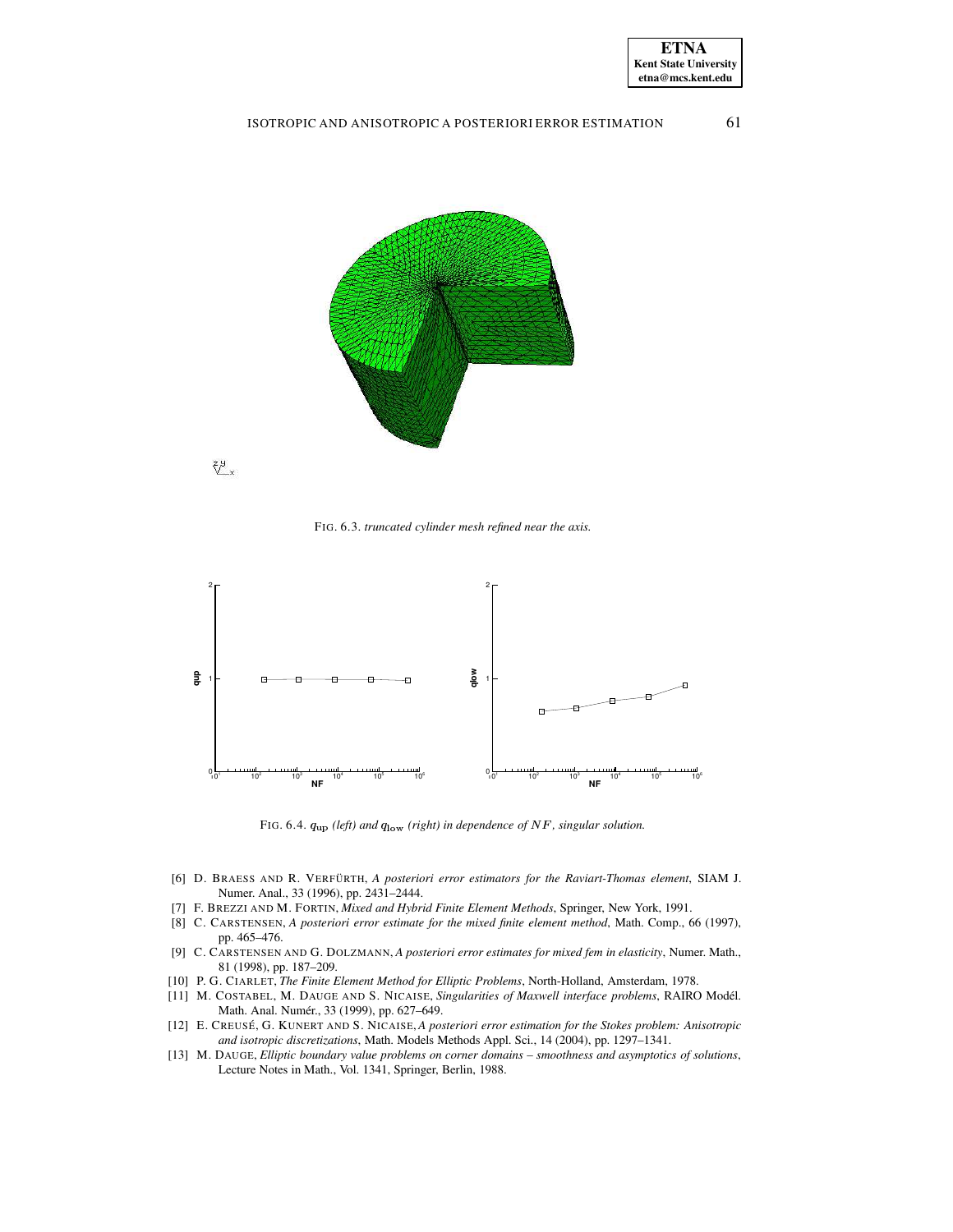



飞×

<span id="page-23-8"></span>FIG. 6.3. *truncated cylinder mesh refined near the axis.*



FIG. 6.4.  $q_{\text{up}}$  (left) and  $q_{\text{low}}$  (right) in dependence of NF, singular solution.

- <span id="page-23-9"></span><span id="page-23-4"></span>[6] D. BRAESS AND R. VERFÜRTH, *A posteriori error estimators for the Raviart-Thomas element*, SIAM J. Numer. Anal., 33 (1996), pp. 2431–2444.
- <span id="page-23-1"></span><span id="page-23-0"></span>[7] F. BREZZI AND M. FORTIN, *Mixed and Hybrid Finite Element Methods*, Springer, New York, 1991.
- [8] C. CARSTENSEN, *A posteriori error estimate for the mixed finite element method*, Math. Comp., 66 (1997), pp. 465–476.
- <span id="page-23-5"></span>[9] C. CARSTENSEN AND G. DOLZMANN, *A posteriori error estimates for mixed fem in elasticity*, Numer. Math., 81 (1998), pp. 187–209.
- <span id="page-23-7"></span><span id="page-23-6"></span>[10] P. G. CIARLET, *The Finite Element Method for Elliptic Problems*, North-Holland, Amsterdam, 1978.
- [11] M. COSTABEL, M. DAUGE AND S. NICAISE, *Singularities of Maxwell interface problems*, RAIRO Model. ´ Math. Anal. Numér., 33 (1999), pp. 627-649.
- <span id="page-23-3"></span>[12] E. CREUSE´, G. KUNERT AND S. NICAISE, *A posteriori error estimation for the Stokes problem: Anisotropic and isotropic discretizations*, Math. Models Methods Appl. Sci., 14 (2004), pp. 1297–1341.
- <span id="page-23-2"></span>[13] M. DAUGE, *Elliptic boundary value problems on corner domains – smoothness and asymptotics of solutions*, Lecture Notes in Math., Vol. 1341, Springer, Berlin, 1988.